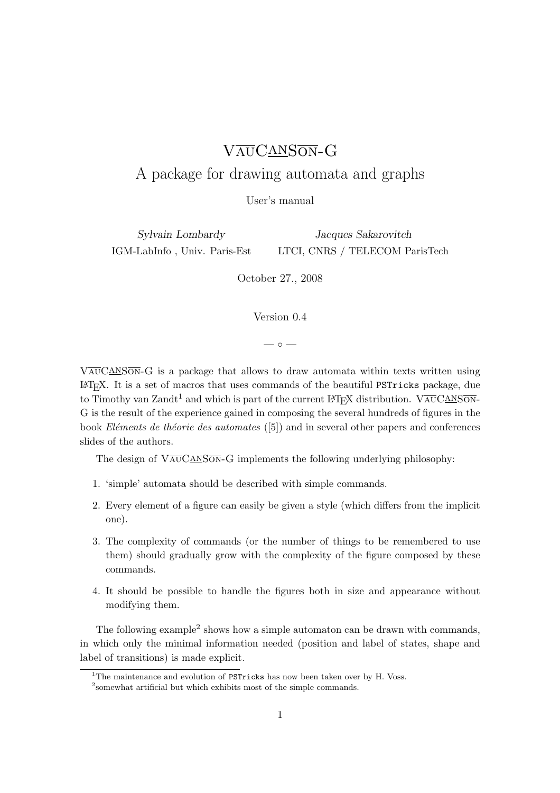# VAUCANSON-G

# A package for drawing automata and graphs

User's manual

Sylvain Lombardy IGM-LabInfo , Univ. Paris-Est

Jacques Sakarovitch LTCI, CNRS / TELECOM ParisTech

October 27., 2008

Version 0.4

 $\sim$   $\circ$   $\sim$ 

 $VAVGANSON-G$  is a package that allows to draw automata within texts written using L<sup>A</sup>TEX. It is a set of macros that uses commands of the beautiful PSTricks package, due to Timothy van Zandt<sup>1</sup> and which is part of the current LAT<sub>EX</sub> distribution. VAUCANSON-G is the result of the experience gained in composing the several hundreds of figures in the book *Eléments de théorie des automates* ([5]) and in several other papers and conferences slides of the authors.

The design of  $V\overline{\text{AUCANSON}}-G$  implements the following underlying philosophy:

- 1. 'simple' automata should be described with simple commands.
- 2. Every element of a figure can easily be given a style (which differs from the implicit one).
- 3. The complexity of commands (or the number of things to be remembered to use them) should gradually grow with the complexity of the figure composed by these commands.
- 4. It should be possible to handle the figures both in size and appearance without modifying them.

The following example<sup>2</sup> shows how a simple automaton can be drawn with commands, in which only the minimal information needed (position and label of states, shape and label of transitions) is made explicit.

<sup>&</sup>lt;sup>1</sup>The maintenance and evolution of PSTricks has now been taken over by H. Voss.

<sup>2</sup> somewhat artificial but which exhibits most of the simple commands.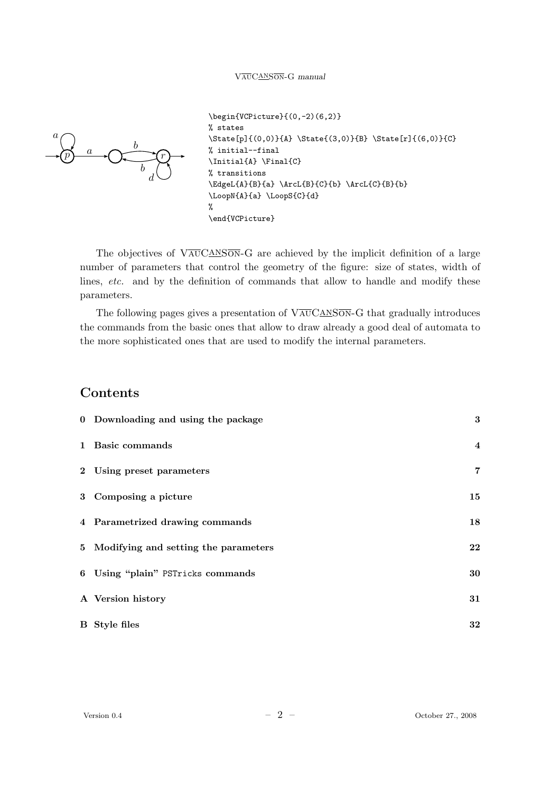

```
\begin{VCPicture}{(0,-2)(6,2)}
% states
\State[p]{(0,0)}{A} \State{(3,0)}{B} \State[r]{(6,0)}{C}
% initial--final
\Initial{A} \Final{C}
% transitions
\EdgeL{A}{B}{a} \ArcL{B}{C}{b} \ArcL{C}{B}{b}
\LoopN{A}{a} \LoopS{C}{d}
%
\end{VCPicture}
```
The objectives of  $\sqrt{\text{AUCANSON}}-G$  are achieved by the implicit definition of a large number of parameters that control the geometry of the figure: size of states, width of lines, etc. and by the definition of commands that allow to handle and modify these parameters.

The following pages gives a presentation of  $V\overline{\text{AUCANSON}}-G$  that gradually introduces the commands from the basic ones that allow to draw already a good deal of automata to the more sophisticated ones that are used to modify the internal parameters.

## Contents

| 0 Downloading and using the package    | 3              |
|----------------------------------------|----------------|
| 1 Basic commands                       | $\overline{4}$ |
| 2 Using preset parameters              | $\overline{7}$ |
| 3 Composing a picture                  | 15             |
| 4 Parametrized drawing commands        | 18             |
| 5 Modifying and setting the parameters | $22\,$         |
| 6 Using "plain" PSTricks commands      | 30             |
| A Version history                      | 31             |
| <b>B</b> Style files                   | 32             |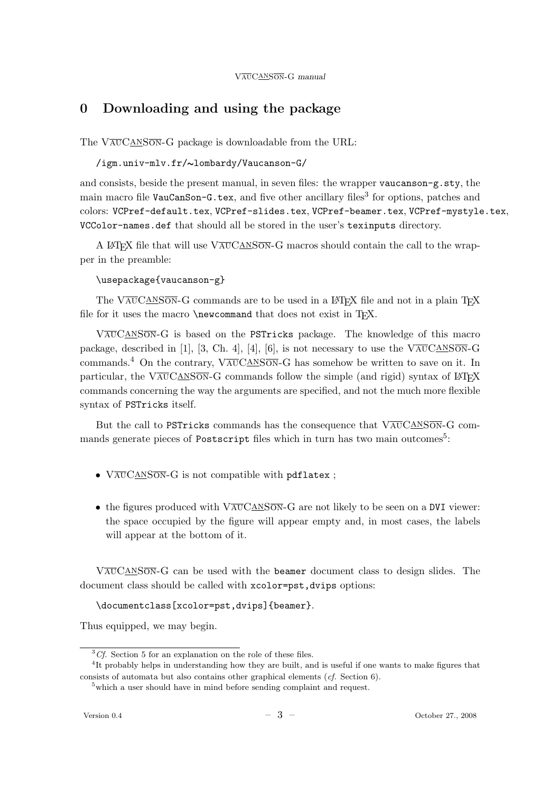# 0 Downloading and using the package

The VAUCANSON-G package is downloadable from the URL:

/igm.univ-mlv.fr/∼lombardy/Vaucanson-G/

and consists, beside the present manual, in seven files: the wrapper vaucanson-g.sty, the main macro file VauCanSon-G.tex, and five other ancillary files<sup>3</sup> for options, patches and colors: VCPref-default.tex, VCPref-slides.tex, VCPref-beamer.tex, VCPref-mystyle.tex, VCColor-names.def that should all be stored in the user's texinputs directory.

A LATEX file that will use  $\sqrt{\text{AU} \text{CAN} \text{S/N}}$  G macros should contain the call to the wrapper in the preamble:

### \usepackage{vaucanson-g}

The VAUCANSON-G commands are to be used in a  $\mathbb{P}\text{Tr}X$  file and not in a plain T<sub>F</sub>X file for it uses the macro  $\neq$  mew command that does not exist in T<sub>E</sub>X.

VauCanSon-G is based on the PSTricks package. The knowledge of this macro package, described in [1], [3, Ch. 4], [4], [6], is not necessary to use the  $\overline{VAUCANSON-G}$ commands.<sup>4</sup> On the contrary,  $\sqrt{\text{AUCANSON}}-G$  has somehow be written to save on it. In particular, the  $V\overline{\text{AUCANSON}}-G$  commands follow the simple (and rigid) syntax of LATEX commands concerning the way the arguments are specified, and not the much more flexible syntax of PSTricks itself.

But the call to PSTricks commands has the consequence that  $V\overline{\text{AUC}\text{AN}}\overline{\text{SON}}\text{-}\text{G}$  commands generate pieces of Postscript files which in turn has two main outcomes<sup>5</sup>:

- $V\overline{\text{AUCANSON}}-G$  is not compatible with pdflatex;
- the figures produced with  $V\overline{\text{AUCANSON}}-G$  are not likely to be seen on a DVI viewer: the space occupied by the figure will appear empty and, in most cases, the labels will appear at the bottom of it.

VauCanSon-G can be used with the beamer document class to design slides. The document class should be called with xcolor=pst, dvips options:

\documentclass[xcolor=pst,dvips]{beamer}.

Thus equipped, we may begin.

 ${}^{3}Cf$ . Section 5 for an explanation on the role of these files.

<sup>&</sup>lt;sup>4</sup>It probably helps in understanding how they are built, and is useful if one wants to make figures that consists of automata but also contains other graphical elements (cf. Section 6).

 $5$  which a user should have in mind before sending complaint and request.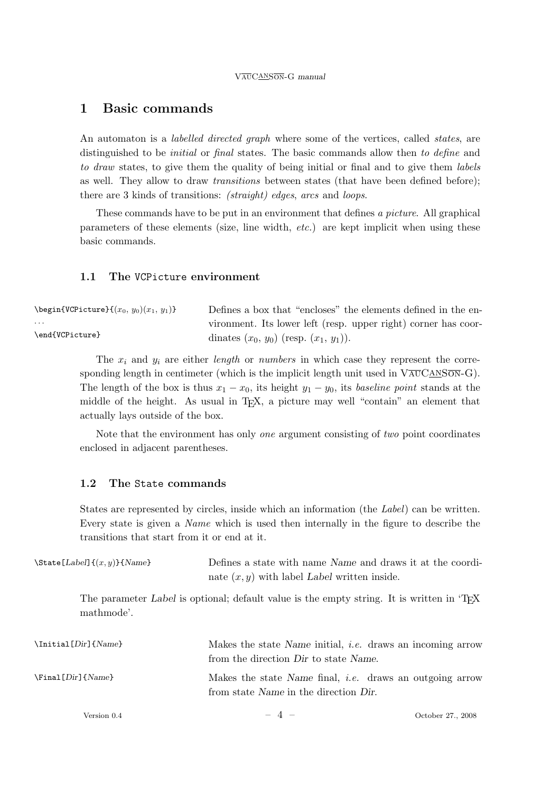## 1 Basic commands

An automaton is a *labelled directed graph* where some of the vertices, called *states*, are distinguished to be *initial* or *final* states. The basic commands allow then to define and to draw states, to give them the quality of being initial or final and to give them labels as well. They allow to draw *transitions* between states (that have been defined before); there are 3 kinds of transitions: *(straight)* edges, arcs and *loops*.

These commands have to be put in an environment that defines a picture. All graphical parameters of these elements (size, line width, etc.) are kept implicit when using these basic commands.

#### 1.1 The VCPicture environment

| $\begin{equation*} \begin{array}{c} \texttt{VCPicture}\quad \{(x_0, y_0)(x_1, y_1)\} \end{array} \end{equation*}$ | Defines a box that "encloses" the elements defined in the en-  |
|-------------------------------------------------------------------------------------------------------------------|----------------------------------------------------------------|
| .                                                                                                                 | vironment. Its lower left (resp. upper right) corner has coor- |
| \end{VCPicture}                                                                                                   | dinates $(x_0, y_0)$ (resp. $(x_1, y_1)$ ).                    |

The  $x_i$  and  $y_i$  are either length or numbers in which case they represent the corresponding length in centimeter (which is the implicit length unit used in  $V\overline{\text{AU}}\text{C}\overline{\text{AN}}\text{S}\overline{\text{ON}}-G$ ). The length of the box is thus  $x_1 - x_0$ , its height  $y_1 - y_0$ , its baseline point stands at the middle of the height. As usual in TEX, a picture may well "contain" an element that actually lays outside of the box.

Note that the environment has only one argument consisting of two point coordinates enclosed in adjacent parentheses.

#### 1.2 The State commands

States are represented by circles, inside which an information (the Label) can be written. Every state is given a Name which is used then internally in the figure to describe the transitions that start from it or end at it.

| $\{\State[Label]\{(x, y)\}\{Name\}$ | Defines a state with name Name and draws it at the coordi-<br>nate $(x, y)$ with label Label written inside. |                   |
|-------------------------------------|--------------------------------------------------------------------------------------------------------------|-------------------|
| mathmode'.                          | The parameter Label is optional; default value is the empty string. It is written in 'T <sub>E</sub> X       |                   |
| $\In$ itial [Dir] {Name}            | Makes the state Name initial, <i>i.e.</i> draws an incoming arrow<br>from the direction Dir to state Name.   |                   |
| $\text{Final}$ [Dir] {Name}         | Makes the state Name final, <i>i.e.</i> draws an outgoing arrow<br>from state Name in the direction Dir.     |                   |
| Version 0.4                         | $-4-$                                                                                                        | October 27., 2008 |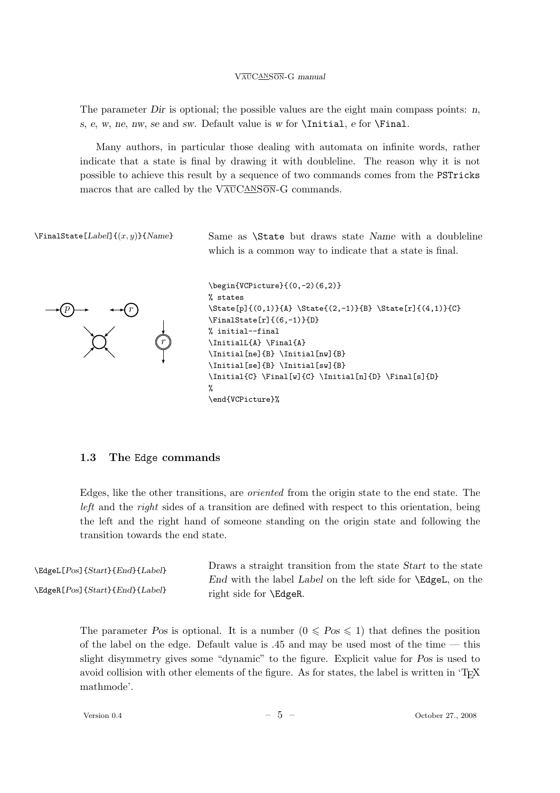The parameter Dir is optional; the possible values are the eight main compass points:  $n$ , s, e, w, ne, nw, se and sw. Default value is w for  $\In$ iial, e for  $\Final$ .

Many authors, in particular those dealing with automata on infinite words, rather indicate that a state is final by drawing it with doubleline. The reason why it is not possible to achieve this result by a sequence of two commands comes from the PSTricks macros that are called by the  $V\overline{\text{AUCANSON}}-G$  commands.

 $\mathcal{E}[Label] {\langle x, y \rangle}$  Same as  $\ \State\ but\ draws\ state\ Name\ with\ a\ doubleline$ which is a common way to indicate that a state is final.



```
\begin{VCPicture}{(0,-2)(6,2)}
% states
\State[p]{(0,1)}{A} \State{(2,-1)}{B} \State[r]{(4,1)}{C}
\FinalState[r]{(6,-1)}{D}
% initial--final
\InitialL{A} \Final{A}
\Initial[ne]{B} \Initial[nw]{B}
\Initial[se]{B} \Initial[sw]{B}
\Initial{C} \Final[w]{C} \Initial[n]{D} \Final[s]{D}
%
\end{VCPicture}%
```
#### 1.3 The Edge commands

Edges, like the other transitions, are oriented from the origin state to the end state. The left and the right sides of a transition are defined with respect to this orientation, being the left and the right hand of someone standing on the origin state and following the transition towards the end state.

\EdgeL[Pos]{Start}{End}{Label} \EdgeR[Pos]{Start}{End}{Label} Draws a straight transition from the state Start to the state End with the label Label on the left side for \EdgeL, on the right side for \EdgeR.

> The parameter Pos is optional. It is a number  $(0 \leq P \text{os} \leq 1)$  that defines the position of the label on the edge. Default value is .45 and may be used most of the time — this slight disymmetry gives some "dynamic" to the figure. Explicit value for Pos is used to avoid collision with other elements of the figure. As for states, the label is written in 'T<sub>E</sub>X mathmode'.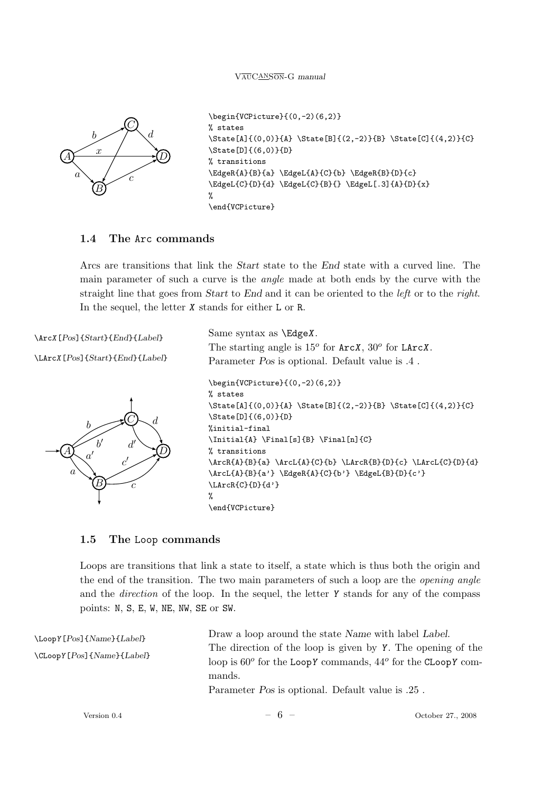

```
\begin{VCPicture}{(0,-2)(6,2)}
% states
\State[A]{(0,0)}{A} \State[B]{(2,-2)}{B} \State[C]{(4,2)}{C}
\State[D]{(6,0)}{D}
% transitions
\EdgeR{A}{B}{a} \EdgeL{A}{C}{b} \EdgeR{B}{D}{c}
\EdgeL{C}{D}{d} \EdgeL{C}{B}{} \EdgeL[.3]{A}{D}{x}
%
\end{VCPicture}
```
## 1.4 The Arc commands

Arcs are transitions that link the Start state to the End state with a curved line. The main parameter of such a curve is the angle made at both ends by the curve with the straight line that goes from *Start* to End and it can be oriented to the *left* or to the right. In the sequel, the letter X stands for either L or R.

\ArcX[Pos]{Start}{End}{Label}

```
\LArcX[Pos]{Start}{End}{Label}
```


```
Same syntax as \EdgeX.
The starting angle is 15^{\circ} for ArcX, 30^{\circ} for LArcX.
Parameter Pos is optional. Default value is .4 .
\begin{VCPicture}{(0,-2)(6,2)}
% states
\State[A]{(0,0)}{A} \State[B]{(2,-2)}{B} \State[C]{(4,2)}{C}
\State[D]{(6,0)}{D}
%initial-final
\Initial{A} \Final[s]{B} \Final[n]{C}
% transitions
\ArcR{A}{B}{a} \ArcL{A}{C}{b} \LArcR{B}{D}{c} \LArcL{C}{D}{d}
\ArcL{A}{B}{a'} \EdgeR{A}{C}{b'} \EdgeL{B}{D}{c'}
\LArcR{C}{D}{d'}
%
\end{VCPicture}
```
## 1.5 The Loop commands

Loops are transitions that link a state to itself, a state which is thus both the origin and the end of the transition. The two main parameters of such a loop are the opening angle and the *direction* of the loop. In the sequel, the letter  $\gamma$  stands for any of the compass points: N, S, E, W, NE, NW, SE or SW.

| $\Lambda$ Loop $Y[Pos]\$ { $Name$ }{ $Label$ }     | Draw a loop around the state Name with label Label.                           |                   |
|----------------------------------------------------|-------------------------------------------------------------------------------|-------------------|
| $\Upsilon$ Loop Y [ $Pos$ ] { $Name$ } { $Label$ } | The direction of the loop is given by Y. The opening of the                   |                   |
|                                                    | loop is $60^{\circ}$ for the LoopY commands, $44^{\circ}$ for the CLoopY com- |                   |
|                                                    | mands.                                                                        |                   |
|                                                    | Parameter <i>Pos</i> is optional. Default value is .25.                       |                   |
| Version 0.4                                        | $-6 -$                                                                        | October 27., 2008 |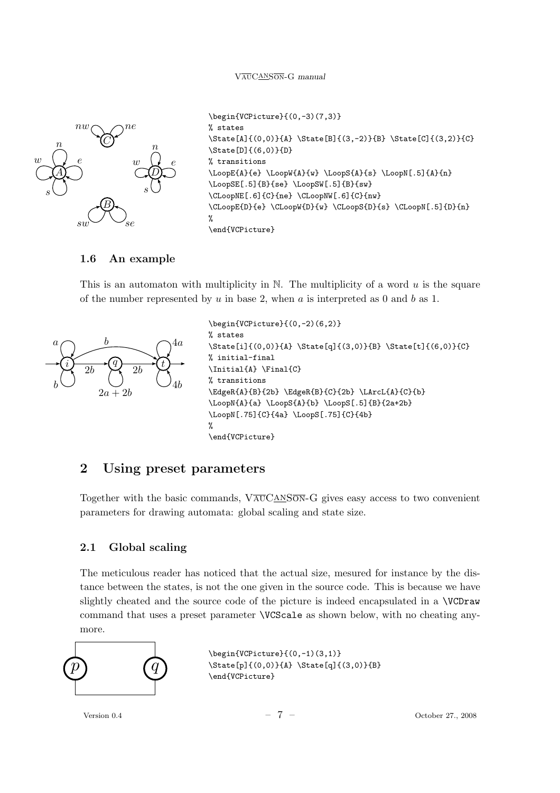

```
\begin{VCPicture}{(0,-3)(7,3)}
% states
\State[A]{(0,0)}{A} \State[B]{(3,-2)}{B} \State[C]{(3,2)}{C}
\State[D]{(6,0)}{D}
% transitions
\LoopE{A}{e} \LoopW{A}{w} \LoopS{A}{s} \LoopN[.5]{A}{n}
\LoopSE[.5]{B}{se} \LoopSW[.5]{B}{sw}
\CLoopNE[.6]{C}{ne} \CLoopNW[.6]{C}{nw}
\CLoopE{D}{e} \CLoopW{D}{w} \CLoopS{D}{s} \CLoopN[.5]{D}{n}
%
\end{VCPicture}
```
#### 1.6 An example

This is an automaton with multiplicity in  $\mathbb N$ . The multiplicity of a word u is the square of the number represented by u in base 2, when a is interpreted as 0 and b as 1.



\begin{VCPicture}{(0,-2)(6,2)} % states \State[i]{(0,0)}{A} \State[q]{(3,0)}{B} \State[t]{(6,0)}{C} % initial-final \Initial{A} \Final{C} % transitions \EdgeR{A}{B}{2b} \EdgeR{B}{C}{2b} \LArcL{A}{C}{b} \LoopN{A}{a} \LoopS{A}{b} \LoopS[.5]{B}{2a+2b} \LoopN[.75]{C}{4a} \LoopS[.75]{C}{4b} % \end{VCPicture}

## 2 Using preset parameters

Together with the basic commands,  $V\overline{\text{AUC}}$   $\overline{\text{ANSON}}$ -G gives easy access to two convenient parameters for drawing automata: global scaling and state size.

#### 2.1 Global scaling

The meticulous reader has noticed that the actual size, mesured for instance by the distance between the states, is not the one given in the source code. This is because we have slightly cheated and the source code of the picture is indeed encapsulated in a \VCDraw command that uses a preset parameter \VCScale as shown below, with no cheating anymore.

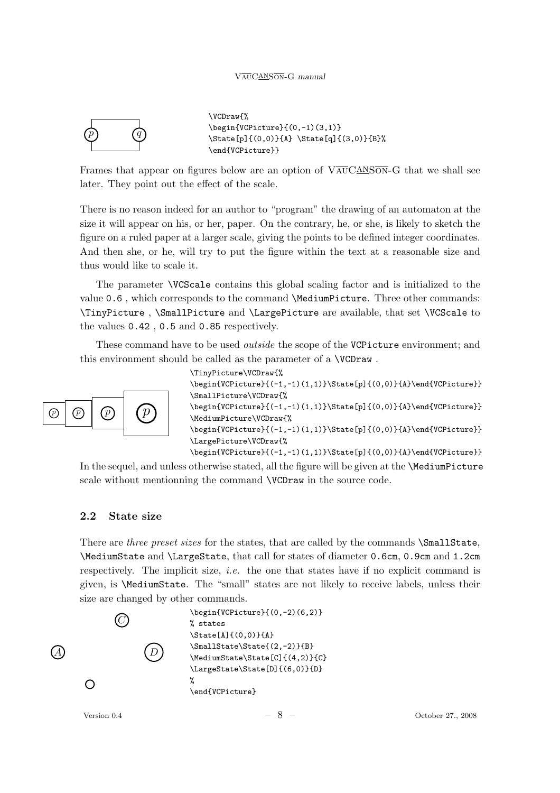

\VCDraw{% \begin{VCPicture}{(0,-1)(3,1)} \State[p]{(0,0)}{A} \State[q]{(3,0)}{B}% \end{VCPicture}}

Frames that appear on figures below are an option of  $V\overline{\text{AUCANSON}}-G$  that we shall see later. They point out the effect of the scale.

There is no reason indeed for an author to "program" the drawing of an automaton at the size it will appear on his, or her, paper. On the contrary, he, or she, is likely to sketch the figure on a ruled paper at a larger scale, giving the points to be defined integer coordinates. And then she, or he, will try to put the figure within the text at a reasonable size and thus would like to scale it.

The parameter \VCScale contains this global scaling factor and is initialized to the value 0.6 , which corresponds to the command \MediumPicture. Three other commands: \TinyPicture , \SmallPicture and \LargePicture are available, that set \VCScale to the values 0.42 , 0.5 and 0.85 respectively.

These command have to be used *outside* the scope of the VCPicture environment; and this environment should be called as the parameter of a \VCDraw .



\TinyPicture\VCDraw{% \begin{VCPicture}{(-1,-1)(1,1)}\State[p]{(0,0)}{A}\end{VCPicture}} \SmallPicture\VCDraw{%

\begin{VCPicture}{(-1,-1)(1,1)}\State[p]{(0,0)}{A}\end{VCPicture}} \MediumPicture\VCDraw{%

\begin{VCPicture}{(-1,-1)(1,1)}\State[p]{(0,0)}{A}\end{VCPicture}} \LargePicture\VCDraw{%

\begin{VCPicture}{(-1,-1)(1,1)}\State[p]{(0,0)}{A}\end{VCPicture}}

In the sequel, and unless otherwise stated, all the figure will be given at the **\MediumPicture** scale without mentionning the command **\VCDraw** in the source code.

#### 2.2 State size

There are three preset sizes for the states, that are called by the commands  $\Sigma$ mallState, \MediumState and \LargeState, that call for states of diameter 0.6cm, 0.9cm and 1.2cm respectively. The implicit size, *i.e.* the one that states have if no explicit command is given, is \MediumState. The "small" states are not likely to receive labels, unless their size are changed by other commands.

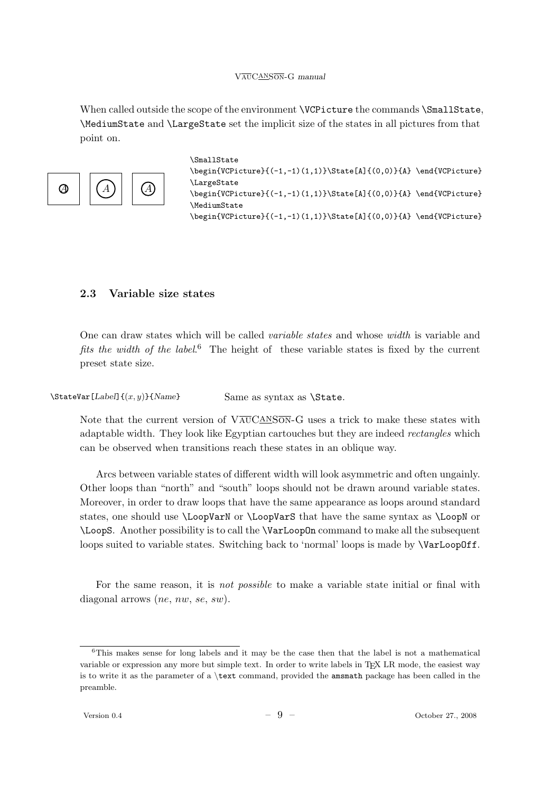When called outside the scope of the environment **\VCPicture** the commands **\SmallState**, \MediumState and \LargeState set the implicit size of the states in all pictures from that point on.



```
\SmallState
\begin{array}{cc}\n\begin{array}{cc}\n\begin{array}{cc}\n\end{array} & \text{VCPicture}\n\end{array} & \begin{array}{cc}\n\end{array} & \text{VCPicture}\n\end{array}\LargeState
\begin{VCPicture}{(-1,-1)(1,1)}\State[A]{(0,0)}{A} \end{VCPicture}
\MediumState
\begin{VCPicture}{(-1,-1)(1,1)}\State[A]{(0,0)}{A} \end{VCPicture}
```
#### 2.3 Variable size states

One can draw states which will be called variable states and whose width is variable and fits the width of the label.<sup>6</sup> The height of these variable states is fixed by the current preset state size.

 $\text{StateVar}[Label] {\{x, y\}}$ {Name} Same as syntax as \State.

Note that the current version of  $V_{\text{A}\text{U}}\text{CAN}$  GN-G uses a trick to make these states with adaptable width. They look like Egyptian cartouches but they are indeed *rectangles* which can be observed when transitions reach these states in an oblique way.

Arcs between variable states of different width will look asymmetric and often ungainly. Other loops than "north" and "south" loops should not be drawn around variable states. Moreover, in order to draw loops that have the same appearance as loops around standard states, one should use \LoopVarN or \LoopVarS that have the same syntax as \LoopN or \LoopS. Another possibility is to call the \VarLoopOn command to make all the subsequent loops suited to variable states. Switching back to 'normal' loops is made by \VarLoopOff.

For the same reason, it is *not possible* to make a variable state initial or final with diagonal arrows (*ne*, *nw*, *se*, *sw*).

 $6$ This makes sense for long labels and it may be the case then that the label is not a mathematical variable or expression any more but simple text. In order to write labels in TFX LR mode, the easiest way is to write it as the parameter of a \text command, provided the amsmath package has been called in the preamble.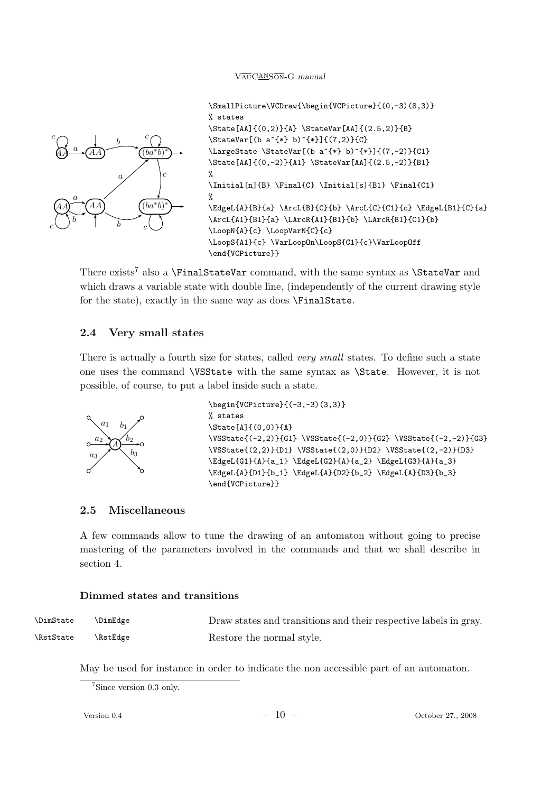

\SmallPicture\VCDraw{\begin{VCPicture}{(0,-3)(8,3)} % states \State[AA]{(0,2)}{A} \StateVar[AA]{(2.5,2)}{B}  $\{\StateVar[(b a^{*} b)^{*}]\{(7,2)\}(C\}$ \LargeState \StateVar[(b a^{\*} b)^{\*}]{(7,-2)}{C1} \State[AA]{(0,-2)}{A1} \StateVar[AA]{(2.5,-2)}{B1} %  $\left[\n{n\in\mathbb{C} \int_{\mathbb{S}}^{B_1} \Final{C_1}\n\right]$ % \EdgeL{A}{B}{a} \ArcL{B}{C}{b} \ArcL{C}{C1}{c} \EdgeL{B1}{C}{a} \ArcL{A1}{B1}{a} \LArcR{A1}{B1}{b} \LArcR{B1}{C1}{b} \LoopN{A}{c} \LoopVarN{C}{c} \LoopS{A1}{c} \VarLoopOn\LoopS{C1}{c}\VarLoopOff \end{VCPicture}}

There exists<sup>7</sup> also a \FinalStateVar command, with the same syntax as \StateVar and which draws a variable state with double line, (independently of the current drawing style for the state), exactly in the same way as does \FinalState.

#### 2.4 Very small states

There is actually a fourth size for states, called *very small* states. To define such a state one uses the command \VSState with the same syntax as \State. However, it is not possible, of course, to put a label inside such a state.



```
\begin{VCPicture}{(-3,-3)(3,3)}
% states
\State[A]{(0,0)}{A}
\VSState{(-2,2)}{G1} \VSState{(-2,0)}{G2} \VSState{(-2,-2)}{G3}
\VSState{(2,2)}{D1} \VSState{(2,0)}{D2} \VSState{(2,-2)}{D3}
\EdgeL{G1}{A}{a_1} \EdgeL{G2}{A}{a_2} \EdgeL{G3}{A}{a_3}
\EdgeL{A}{D1}{b_1} \EdgeL{A}{D2}{b_2} \EdgeL{A}{D3}{b_3}
\end{VCPicture}}
```
### 2.5 Miscellaneous

A few commands allow to tune the drawing of an automaton without going to precise mastering of the parameters involved in the commands and that we shall describe in section 4.

#### Dimmed states and transitions

| <b>\DimState</b> | \DimEdge | Draw states and transitions and their respective labels in gray. |
|------------------|----------|------------------------------------------------------------------|
| \RstState        | \RstEdge | Restore the normal style.                                        |

May be used for instance in order to indicate the non accessible part of an automaton.

<sup>7</sup>Since version 0.3 only.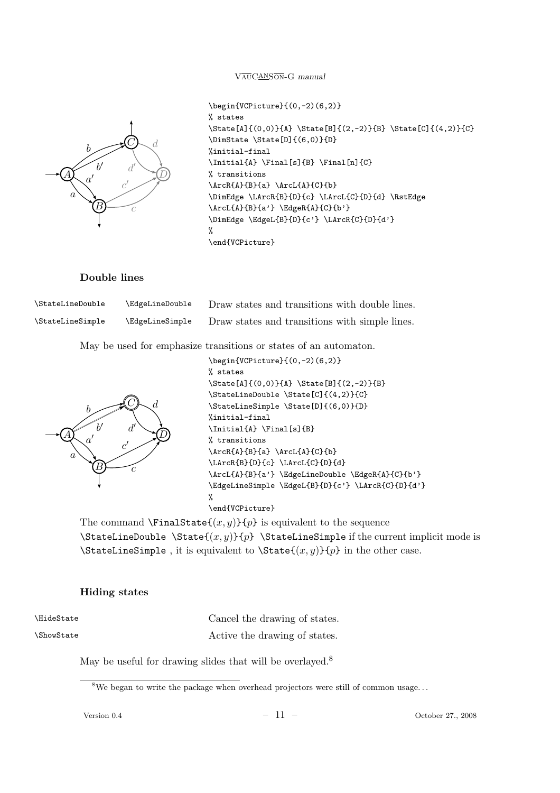

```
\begin{VCPicture}{(0,-2)(6,2)}
% states
\State[A]{(0,0)}{A} \State[B]{(2,-2)}{B} \State[C]{(4,2)}{C}
\DimState \State[D]{(6,0)}{D}
%initial-final
\left\{A\right\} \left\{B\right\} \left\{B\right\}% transitions
\text{A}{B}{a} \ArcL{A}{C}{b}
\DimEdge \LArcR{B}{D}{c} \LArcL{C}{D}{d} \RstEdge
\ArcL{A}{B}{a'} \EdgeR{A}{C}{b'}
\DimEdge \EdgeL{B}{D}{c'} \LArcR{C}{D}{d'}
%
\end{VCPicture}
```
### Double lines

| <b>\StateLineDouble</b> | \EdgeLineDouble        | Draw states and transitions with double lines. |
|-------------------------|------------------------|------------------------------------------------|
| <b>\StateLineSimple</b> | <b>\EdgeLineSimple</b> | Draw states and transitions with simple lines. |

May be used for emphasize transitions or states of an automaton.



```
\begin{VCPicture}{(0,-2)(6,2)}
% states
\State[A]{(0,0)}{A} \State[B]{(2,-2)}{B}
\StateLineDouble \State[C]{(4,2)}{C}
\StateLineSimple \State[D]{(6,0)}{D}
%initial-final
\Initial{A} \Final[s]{B}
% transitions
\ArcR{A}{B}{a} \ArcL{A}{C}{b}
\LArcR{B}{D}{c} \LArcL{C}{D}{d}
\ArcL{A}{B}{a'} \EdgeLineDouble \EdgeR{A}{C}{b'}
\EdgeLineSimple \EdgeL{B}{D}{c'} \LArcR{C}{D}{d'}
%
\end{VCPicture}
```
The command  $\text{FinalState}(x, y)$  is equivalent to the sequence \StateLineDouble \State{ $(x, y)$ }{p} \StateLineSimple if the current implicit mode is  $\text{StateLineSimple}$ , it is equivalent to  $\text{State}(x, y)$ {p} in the other case.

#### Hiding states

\HideState \ShowState Cancel the drawing of states. Active the drawing of states.

May be useful for drawing slides that will be overlayed.<sup>8</sup>

<sup>&</sup>lt;sup>8</sup>We began to write the package when overhead projectors were still of common usage...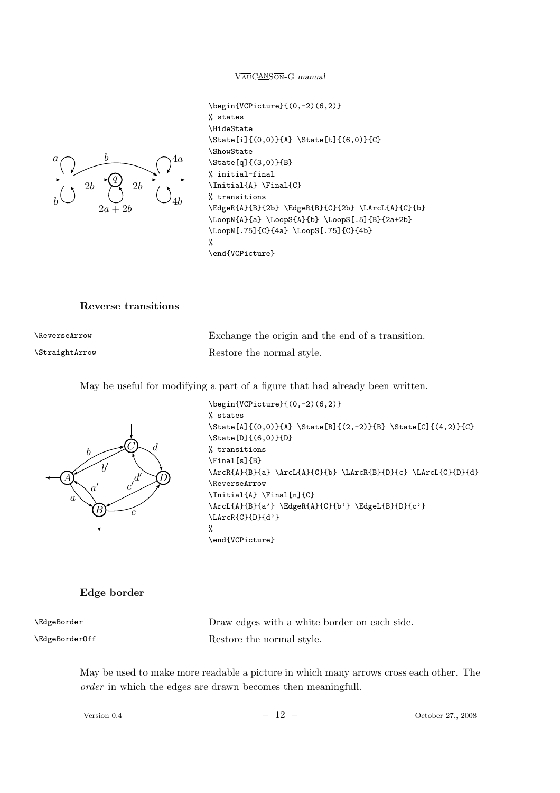

```
\begin{VCPicture}{(0,-2)(6,2)}
% states
\HideState
\State[i]{(0,0)}{A} \State[t]{(6,0)}{C}
\ShowState
\State[q]{(3,0)}{B}
% initial-final
\Initial{A} \Final{C}
% transitions
\EdgeR{A}{B}{2b} \EdgeR{B}{C}{2b} \LArcL{A}{C}{b}
\LoopN{A}{a} \LoopS{A}{b} \LoopS[.5]{B}{2a+2b}
\LoopN[.75]{C}{4a} \LoopS[.75]{C}{4b}
%
\end{VCPicture}
```
#### Reverse transitions

| \ReverseArrow  | Exchange the origin and the end of a transition. |
|----------------|--------------------------------------------------|
| \StraightArrow | Restore the normal style.                        |

May be useful for modifying a part of a figure that had already been written.



```
\begin{VCPicture}{(0,-2)(6,2)}
% states
\State[A]{(0,0)}{A} \State[B]{(2,-2)}{B} \State[C]{(4,2)}{C}
\State[D]{(6,0)}{D}
% transitions
\Final[s]{B}
\ArcR{A}{B}{a} \ArcL{A}{C}{b} \LArcR{B}{D}{c} \LArcL{C}{D}{d}
\ReverseArrow
\Initial{A} \Final[n]{C}
\ArcL{A}{B}{a'} \EdgeR{A}{C}{b'} \EdgeL{B}{D}{c'}
\LArcR{C}{D}{d'}
%
\end{VCPicture}
```
#### Edge border

\EdgeBorder

\EdgeBorderOff

Draw edges with a white border on each side. Restore the normal style.

May be used to make more readable a picture in which many arrows cross each other. The order in which the edges are drawn becomes then meaningfull.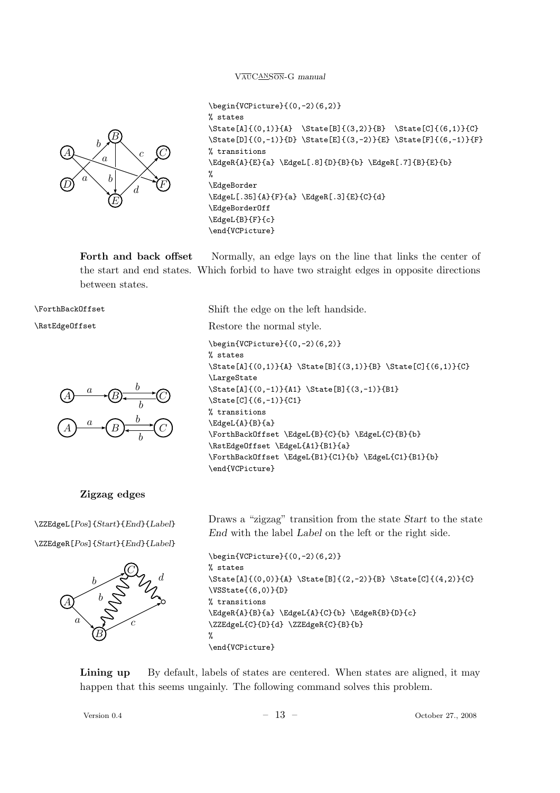

```
\begin{VCPicture}{(0,-2)(6,2)}
% states
\State[A]{(0,1)}{A} \State[B]{(3,2)}{B} \State[C]{(6,1)}{C}
\State[D]{(0,-1)}{D} \State[E]{(3,-2)}{E} \State[F]{(6,-1)}{F}
% transitions
\EdgeR{A}{E}{a} \EdgeL[.8]{D}{B}{b} \EdgeR[.7]{B}{E}{b}
%
\EdgeBorder
\EdgeL[.35]{A}{F}{a} \EdgeR[.3]{E}{C}{d}
\EdgeBorderOff
\EdgeL{B}{F}{c}
\end{VCPicture}
```
Forth and back offset Normally, an edge lays on the line that links the center of the start and end states. Which forbid to have two straight edges in opposite directions between states.

\ForthBackOffset

\RstEdgeOffset



#### Zigzag edges

\ZZEdgeL[Pos]{Start}{End}{Label}

\ZZEdgeR[Pos]{Start}{End}{Label}



Shift the edge on the left handside. Restore the normal style. \begin{VCPicture}{(0,-2)(6,2)} % states \State[A]{(0,1)}{A} \State[B]{(3,1)}{B} \State[C]{(6,1)}{C} \LargeState \State[A]{(0,-1)}{A1} \State[B]{(3,-1)}{B1} \State[C]{(6,-1)}{C1} % transitions \EdgeL{A}{B}{a} \ForthBackOffset \EdgeL{B}{C}{b} \EdgeL{C}{B}{b} \RstEdgeOffset \EdgeL{A1}{B1}{a} \ForthBackOffset \EdgeL{B1}{C1}{b} \EdgeL{C1}{B1}{b} \end{VCPicture}

Draws a "zigzag" transition from the state Start to the state End with the label Label on the left or the right side.

```
\begin{VCPicture}{(0,-2)(6,2)}
% states
\State[A]{(0,0)}{A} \State[B]{(2,-2)}{B} \State[C]{(4,2)}{C}
\VSState{(6,0)}{D}
% transitions
\EdgeR{A}{B}{a} \EdgeL{A}{C}{b} \EdgeR{B}{D}{c}
\ZZEdgeL{C}{D}{d} \ZZEdgeR{C}{B}{b}
%
\end{VCPicture}
```
Lining up By default, labels of states are centered. When states are aligned, it may happen that this seems ungainly. The following command solves this problem.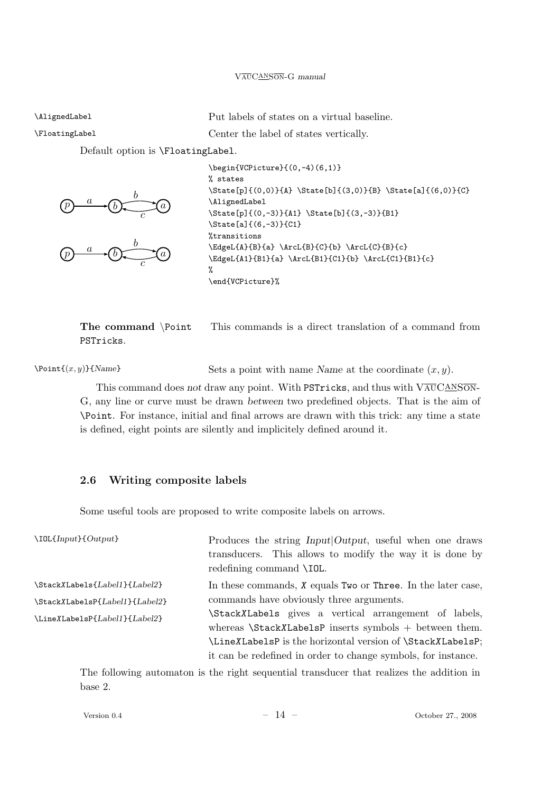\AlignedLabel

Put labels of states on a virtual baseline.

\FloatingLabel

Center the label of states vertically.

Default option is \FloatingLabel.





 $\begin{array}{c}\n\begin{array}{c}\n\text{begin{cases}\n\text{Number of 1} \\
\text{Number of 2} \\
\text{Number of 3} \\
\text{Order of 4}\n\end{array}\n\end{array}$ % states \State[p]{(0,0)}{A} \State[b]{(3,0)}{B} \State[a]{(6,0)}{C} \AlignedLabel \State[p]{(0,-3)}{A1} \State[b]{(3,-3)}{B1} \State[a]{(6,-3)}{C1} %transitions \EdgeL{A}{B}{a} \ArcL{B}{C}{b} \ArcL{C}{B}{c} \EdgeL{A1}{B1}{a} \ArcL{B1}{C1}{b} \ArcL{C1}{B1}{c} % \end{VCPicture}%

The command \Point This commands is a direct translation of a command from PSTricks.

 $\text{Point} \{(x, y)\}$ {Name} Sets a point with name Name at the coordinate  $(x, y)$ .

This command does not draw any point. With PSTricks, and thus with  $V\overline{\text{AUCANSON}}$ G, any line or curve must be drawn between two predefined objects. That is the aim of \Point. For instance, initial and final arrows are drawn with this trick: any time a state is defined, eight points are silently and implicitely defined around it.

## 2.6 Writing composite labels

Some useful tools are proposed to write composite labels on arrows.

| $\Upsilon$ IOL{Input}{Output}  | Produces the string <i>Input</i>   <i>Output</i> , useful when one draws<br>transducers. This allows to modify the way it is done by<br>redefining command \IOL. |
|--------------------------------|------------------------------------------------------------------------------------------------------------------------------------------------------------------|
| \StackXLabels{Label1}{Label2}  | In these commands, $X$ equals Two or Three. In the later case,                                                                                                   |
| \StackXLabelsP{Label1}{Label2} | commands have obviously three arguments.                                                                                                                         |
| \LineXLabelsP{Label1}{Label2}  | StackXLabels gives a vertical arrangement of labels,                                                                                                             |
|                                | whereas $\text{StackXLabelsP}$ inserts symbols + between them.                                                                                                   |
|                                | \LineXLabelsP is the horizontal version of \StackXLabelsP;                                                                                                       |
|                                | it can be redefined in order to change symbols, for instance.                                                                                                    |

The following automaton is the right sequential transducer that realizes the addition in base 2.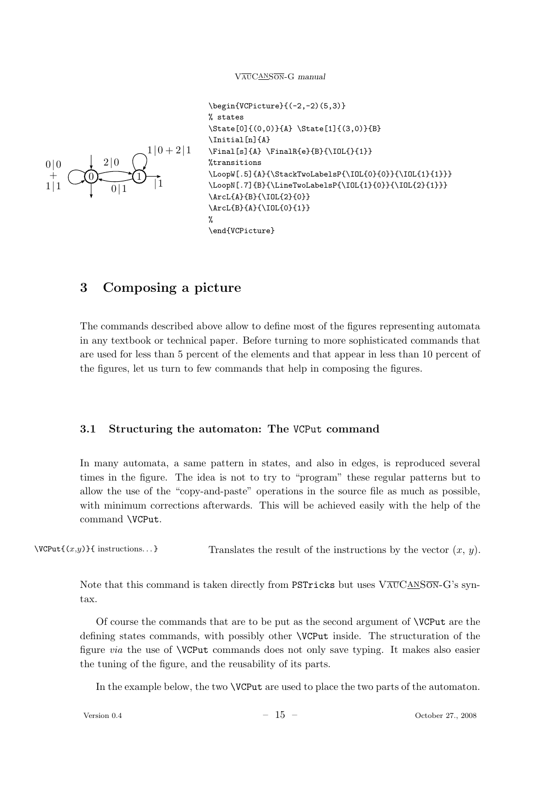

```
\begin{VCPicture}{(-2,-2)(5,3)}
% states
\State[0]{(0,0)}{A} \State[1]{(3,0)}{B}
\Initial[n]{A}
\[s]{A} \leftarrow{e}{B}{\IOL}%transitions
\LoopW[.5]{A}{\StackTwoLabelsP{\IOL{0}{0}}{\IOL{1}{1}}}
\LoopN[.7]{B}{\LineTwoLabelsP{\IOL{1}{0}}{\IOL{2}{1}}}
\ArcL{A}{B}{\IOL{2}{0}}
\ArcL{B}{A}{\IOL{0}{1}}
%
\end{VCPicture}
```
## 3 Composing a picture

The commands described above allow to define most of the figures representing automata in any textbook or technical paper. Before turning to more sophisticated commands that are used for less than 5 percent of the elements and that appear in less than 10 percent of the figures, let us turn to few commands that help in composing the figures.

#### 3.1 Structuring the automaton: The VCPut command

In many automata, a same pattern in states, and also in edges, is reproduced several times in the figure. The idea is not to try to "program" these regular patterns but to allow the use of the "copy-and-paste" operations in the source file as much as possible, with minimum corrections afterwards. This will be achieved easily with the help of the command \VCPut.

 $\forall$ CPut{(x,y)}{ instructions...} Translates the result of the instructions by the vector  $(x, y)$ .

Note that this command is taken directly from PSTricks but uses  $V\overline{\text{AUCANSON}}-G$ 's syntax.

Of course the commands that are to be put as the second argument of \VCPut are the defining states commands, with possibly other \VCPut inside. The structuration of the figure via the use of \VCPut commands does not only save typing. It makes also easier the tuning of the figure, and the reusability of its parts.

In the example below, the two \VCPut are used to place the two parts of the automaton.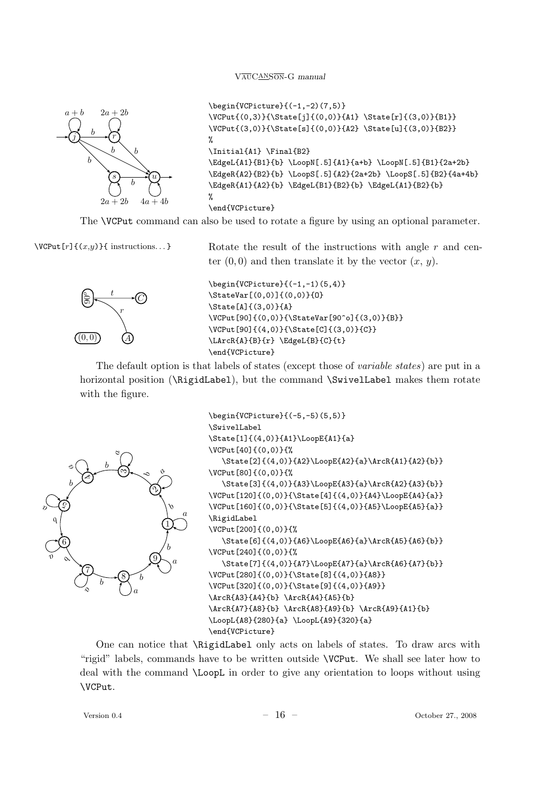

```
\begin{VCPicture}{(-1,-2)(7,5)}
\VCPut{(0,3)}{\State[j]{(0,0)}{A1} \State[r]{(3,0)}{B1}}
\VCPut{(3,0)}{\State[s]{(0,0)}{A2} \State[u]{(3,0)}{B2}}
%
\Initial{A1} \Final{B2}
\EdgeL{A1}{B1}{b} \LoopN[.5]{A1}{a+b} \LoopN[.5]{B1}{2a+2b}
\EdgeR{A2}{B2}{b} \LoopS[.5]{A2}{2a+2b} \LoopS[.5]{B2}{4a+4b}
\EdgeR{A1}{A2}{b} \EdgeL{B1}{B2}{b} \EdgeL{A1}{B2}{b}
%
\end{VCPicture}
```
The \VCPut command can also be used to rotate a figure by using an optional parameter.



 $\forall$ CPut[r]{(x,y)}{ instructions...} Rotate the result of the instructions with angle r and center  $(0, 0)$  and then translate it by the vector  $(x, y)$ .

```
\begin{array}{c}\n\begin{array}{c}\n\text{begin{cases}\n-1, -1 \\
\end{array}\n\end{array}\StateVar[(0,0)]{(0,0)}{O}
\State[A]{(3,0)}{A}
\VCPut[90]{(0,0)}{\StateVar[90^o]{(3,0)}{B}}
\VCPut[90]{(4,0)}{\State[C]{(3,0)}{C}}
\LArcR{A}{B}{r} \EdgeL{B}{C}{t}
\end{VCPicture}
```
The default option is that labels of states (except those of variable states) are put in a horizontal position (\RigidLabel), but the command \SwivelLabel makes them rotate with the figure.



```
\begin{VCPicture}{(-5,-5)(5,5)}
\SwivelLabel
\State[1]{(4,0)}{A1}\LoopE{A1}{a}
\VCPut[40]{(0,0)}{%
   \State[2]{(4,0)}{A2}\LoopE{A2}{a}\ArcR{A1}{A2}{b}}
\VCPut[80]{(0,0)}{%
   \State[3]{(4,0)}{A3}\LoopE{A3}{a}\ArcR{A2}{A3}{b}}
\VCPut[120]{(0,0)}{\State[4]{(4,0)}{A4}\LoopE{A4}{a}}
\VCPut[160]{(0,0)}{\State[5]{(4,0)}{A5}\LoopE{A5}{a}}
\RigidLabel
\VCPut[200]{(0,0)}{%
  \State[6]{(4,0)}{A6}\LoopE{A6}{a}\ArcR{A5}{A6}{b}}
\VCPut[240]{(0,0)}{%
   \State[7]{(4,0)}{A7}\LoopE{A7}{a}\ArcR{A6}{A7}{b}}
\VCPut[280]{(0,0)}{\State[8]{(4,0)}{A8}}
\VCPut[320]{(0,0)}{\State[9]{(4,0)}{A9}}
\ArcR{A3}{A4}{b} \ArcR{A4}{A5}{b}
\ArcR{A7}{A8}{b} \ArcR{A8}{A9}{b} \ArcR{A9}{A1}{b}
\LoopL{A8}{280}{a} \LoopL{A9}{320}{a}
\end{VCPicture}
```
One can notice that \RigidLabel only acts on labels of states. To draw arcs with "rigid" labels, commands have to be written outside \VCPut. We shall see later how to deal with the command \LoopL in order to give any orientation to loops without using \VCPut.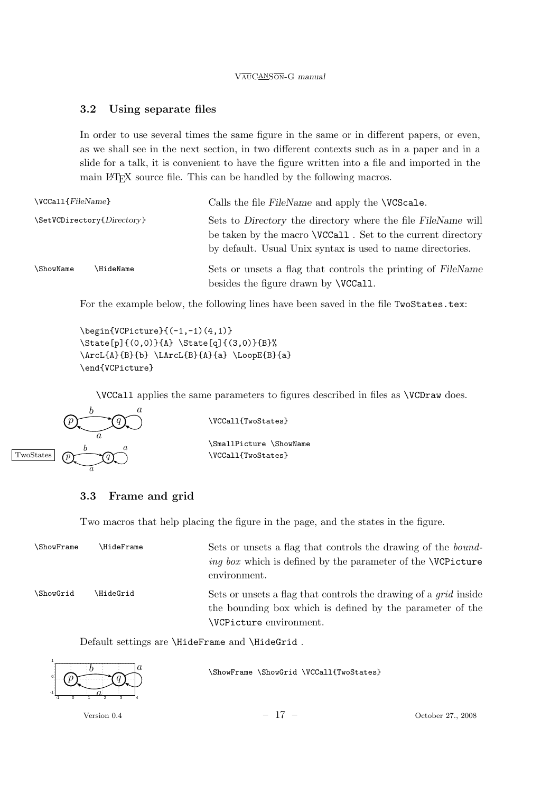## 3.2 Using separate files

In order to use several times the same figure in the same or in different papers, or even, as we shall see in the next section, in two different contexts such as in a paper and in a slide for a talk, it is convenient to have the figure written into a file and imported in the main L<sup>A</sup>TEX source file. This can be handled by the following macros.

| $\VCCall{FileName}$        |                 | Calls the file FileName and apply the <b>\VCScale</b> .                                                                                                                                           |
|----------------------------|-----------------|---------------------------------------------------------------------------------------------------------------------------------------------------------------------------------------------------|
| \SetVCDirectory{Directory} |                 | Sets to Directory the directory where the file FileName will<br>be taken by the macro <b>\VCCall</b> . Set to the current directory<br>by default. Usual Unix syntax is used to name directories. |
| <b>\ShowName</b>           | <b>HideName</b> | Sets or unsets a flag that controls the printing of FileName<br>besides the figure drawn by <b>\VCCall</b> .                                                                                      |

For the example below, the following lines have been saved in the file TwoStates.tex:

 $\begin{array}{c}\n\begin{array}{c}\n\text{begin{cases}\nY}{Picture}(-1, -1)(4, 1)\n\end{array}$ \State[p]{(0,0)}{A} \State[q]{(3,0)}{B}% \ArcL{A}{B}{b} \LArcL{B}{A}{a} \LoopE{B}{a} \end{VCPicture}

\VCCall applies the same parameters to figures described in files as \VCDraw does.



\VCCall{TwoStates}

\SmallPicture \ShowName \VCCall{TwoStates}

### 3.3 Frame and grid

Two macros that help placing the figure in the page, and the states in the figure.

| <b>\ShowFrame</b> | <b>\HideFrame</b> | Sets or unsets a flag that controls the drawing of the <i>bound</i> -<br><i>ing box</i> which is defined by the parameter of the <b>\VCP</b> icture<br>environment. |
|-------------------|-------------------|---------------------------------------------------------------------------------------------------------------------------------------------------------------------|
| <b>\ShowGrid</b>  | \HideGrid         | Sets or unsets a flag that controls the drawing of a <i>grid</i> inside<br>the bounding box which is defined by the parameter of the<br>VCPicture environment.      |

Default settings are \HideFrame and \HideGrid .



\ShowFrame \ShowGrid \VCCall{TwoStates}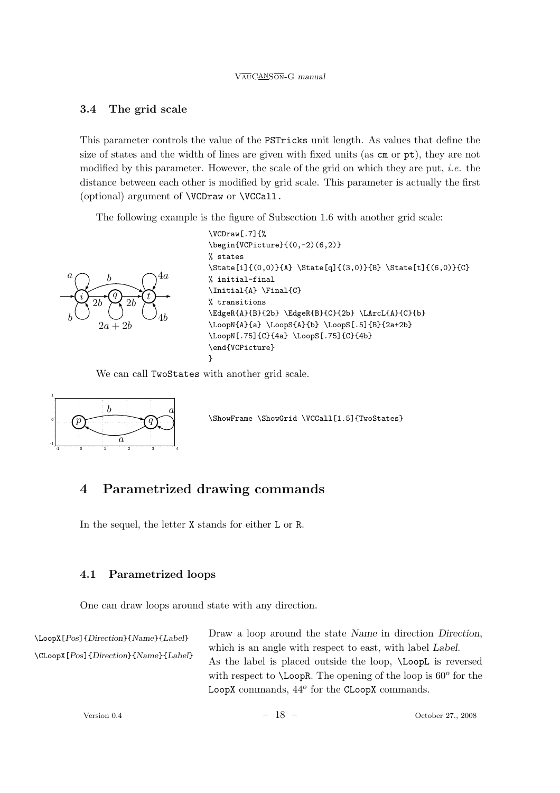## 3.4 The grid scale

This parameter controls the value of the PSTricks unit length. As values that define the size of states and the width of lines are given with fixed units (as cm or pt), they are not modified by this parameter. However, the scale of the grid on which they are put, i.e. the distance between each other is modified by grid scale. This parameter is actually the first (optional) argument of \VCDraw or \VCCall.

The following example is the figure of Subsection 1.6 with another grid scale:



```
\VCDraw[.7]{%
\begin{VCPicture}{(0,-2)(6,2)}
% states
\State[i]{(0,0)}{A} \State[q]{(3,0)}{B} \State[t]{(6,0)}{C}
% initial-final
\Initial{A} \Final{C}
% transitions
\EdgeR{A}{B}{2b} \EdgeR{B}{C}{2b} \LArcL{A}{C}{b}
\LoopN{A}{a} \LoopS{A}{b} \LoopS[.5]{B}{2a+2b}
\LoopN[.75]{C}{4a} \LoopS[.75]{C}{4b}
\end{VCPicture}
}
```
We can call TwoStates with another grid scale.



\ShowFrame \ShowGrid \VCCall[1.5]{TwoStates}

# 4 Parametrized drawing commands

In the sequel, the letter X stands for either L or R.

## 4.1 Parametrized loops

One can draw loops around state with any direction.

\LoopX[Pos]{Direction}{Name}{Label} \CLoopX[Pos]{Direction}{Name}{Label} Draw a loop around the state Name in direction Direction, which is an angle with respect to east, with label Label. As the label is placed outside the loop, \LoopL is reversed with respect to  $\text{LoopR}$ . The opening of the loop is  $60^{\circ}$  for the LoopX commands,  $44^o$  for the CLoopX commands.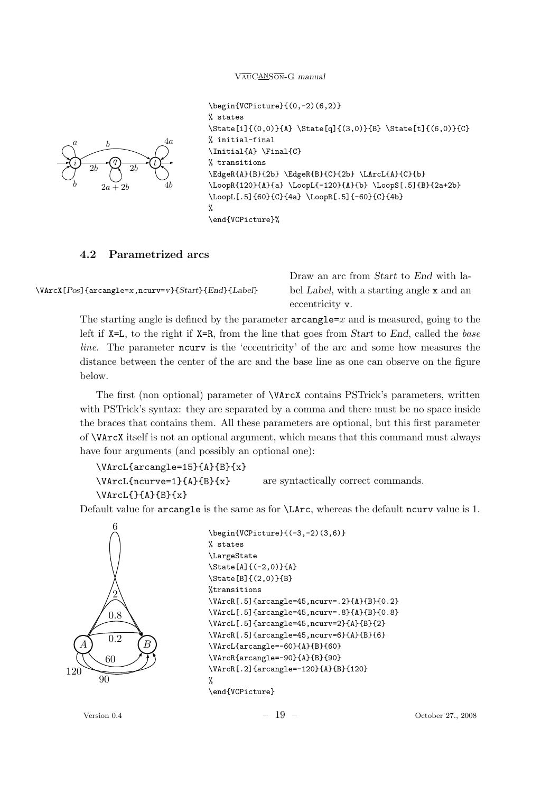

```
\begin{VCPicture}{(0,-2)(6,2)}
% states
\State[i]{(0,0)}{A} \State[q]{(3,0)}{B} \State[t]{(6,0)}{C}
% initial-final
\Initial{A} \Final{C}
% transitions
\EdgeR{A}{B}{2b} \EdgeR{B}{C}{2b} \LArcL{A}{C}{b}
\LoopR{120}{A}{a} \LoopL{-120}{A}{b} \LoopS[.5]{B}{2a+2b}
\LoopL[.5]{60}{C}{4a} \LoopR[.5]{-60}{C}{4b}
%
\end{VCPicture}%
```
## 4.2 Parametrized arcs

```
\VArcX[Pos]{arcangle=x,ncurv=v}{Start}{End}{Label}
```
Draw an arc from Start to End with label Label, with a starting angle x and an eccentricity v.

The starting angle is defined by the parameter  $\arctan z = x$  and is measured, going to the left if  $X=L$ , to the right if  $X=R$ , from the line that goes from *Start* to End, called the base line. The parameter ncurv is the 'eccentricity' of the arc and some how measures the distance between the center of the arc and the base line as one can observe on the figure below.

The first (non optional) parameter of \VArcX contains PSTrick's parameters, written with PSTrick's syntax: they are separated by a comma and there must be no space inside the braces that contains them. All these parameters are optional, but this first parameter of \VArcX itself is not an optional argument, which means that this command must always have four arguments (and possibly an optional one):

```
\VArcL{arcangle=15}{A}{B}{x}
```
\VArcL{ncurve=1}{A}{B}{x} are syntactically correct commands.

```
\VArcL{}{A}{B}{x}
```
Default value for arcangle is the same as for \LArc, whereas the default ncurv value is 1.



```
\begin{VCPicture}{(-3,-2)(3,6)}
% states
\LargeState
\State[A]{(-2,0)}{A}
\State[B]{(2,0)}{B}
%transitions
\VArcR[.5]{arcangle=45,ncurv=.2}{A}{B}{0.2}
\VArcL[.5]{arcangle=45,ncurv=.8}{A}{B}{0.8}
\VArcL[.5]{arcangle=45,ncurv=2}{A}{B}{2}
\VArcR[.5]{arcangle=45,ncurv=6}{A}{B}{6}
\VArcL{arcangle=-60}{A}{B}{60}
\VArcR{arcangle=-90}{A}{B}{90}
\VArcR[.2]{arcangle=-120}{A}{B}{120}
%
\end{VCPicture}
```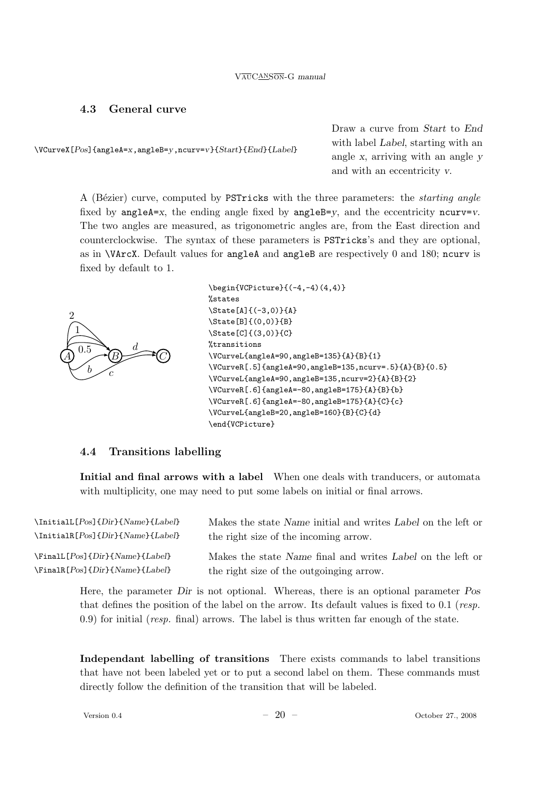### 4.3 General curve

\VCurveX[Pos]{angleA=x,angleB=y,ncurv=v}{Start}{End}{Label}

Draw a curve from Start to End with label Label, starting with an angle x, arriving with an angle y and with an eccentricity v.

A (Bézier) curve, computed by PSTricks with the three parameters: the *starting angle* fixed by angle $A=x$ , the ending angle fixed by angle $B=y$ , and the eccentricity ncurv=v. The two angles are measured, as trigonometric angles are, from the East direction and counterclockwise. The syntax of these parameters is PSTricks's and they are optional, as in \VArcX. Default values for angleA and angleB are respectively 0 and 180; ncurv is fixed by default to 1.



```
\begin{VCPicture}{(-4,-4)(4,4)}
%states
\State[A]{(-3,0)}{A}
\State[B]{(0,0)}{B}
\State[C]{(3,0)}{C}
%transitions
\VCurveL{angleA=90,angleB=135}{A}{B}{1}
\VCurveR[.5]{angleA=90,angleB=135,ncurv=.5}{A}{B}{0.5}
\VCurveL{angleA=90,angleB=135,ncurv=2}{A}{B}{2}
\VCurveR[.6]{angleA=-80,angleB=175}{A}{B}{b}
\VCurveR[.6]{angleA=-80,angleB=175}{A}{C}{c}
\VCurveL{angleB=20,angleB=160}{B}{C}{d}
\end{VCPicture}
```
### 4.4 Transitions labelling

Initial and final arrows with a label When one deals with tranducers, or automata with multiplicity, one may need to put some labels on initial or final arrows.

\InitialL[Pos]{Dir}{Name}{Label} \InitialR[Pos]{Dir}{Name}{Label}

Makes the state Name initial and writes Label on the left or the right size of the incoming arrow.

\FinalL[Pos]{Dir}{Name}{Label} \FinalR[Pos]{Dir}{Name}{Label} Makes the state Name final and writes Label on the left or the right size of the outgoinging arrow.

Here, the parameter Dir is not optional. Whereas, there is an optional parameter Pos that defines the position of the label on the arrow. Its default values is fixed to 0.1 (*resp.* 0.9) for initial (resp. final) arrows. The label is thus written far enough of the state.

Independant labelling of transitions There exists commands to label transitions that have not been labeled yet or to put a second label on them. These commands must directly follow the definition of the transition that will be labeled.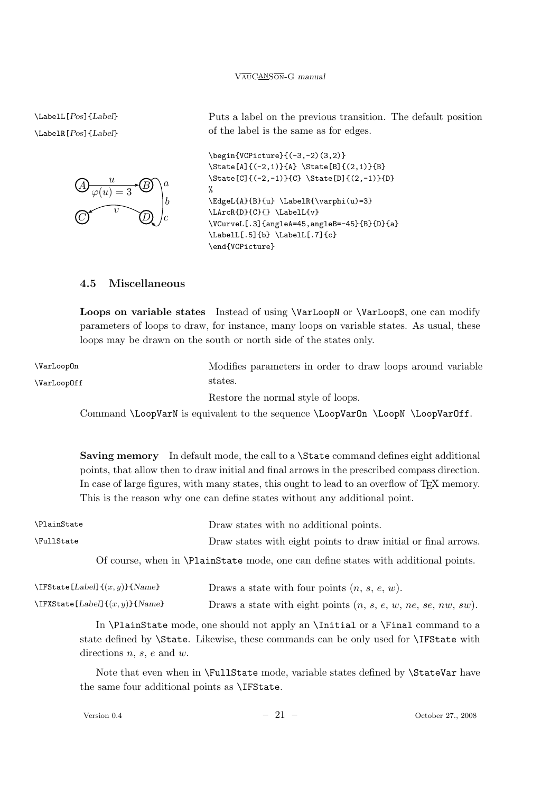\LabelL[Pos]{Label} \LabelR[Pos]{Label}



Puts a label on the previous transition. The default position of the label is the same as for edges.

```
\begin{VCPicture}{(-3,-2)(3,2)}
\State[A]{(-2,1)}{A} \State[B]{(2,1)}{B}
\State[C]{(-2,-1)}{C} \State[D]{(2,-1)}{D}
%
\EdgeL{A}{B}{u} \LabelR{\varphi(u)=3}
\LArcR{D}{C}{} \LabelL{v}
\VCurveL[.3]{angleA=45,angleB=-45}{B}{D}{a}
\LabelL[.5]{b} \LabelL[.7]{c}
\end{VCPicture}
```
## 4.5 Miscellaneous

Loops on variable states Instead of using \VarLoopN or \VarLoopS, one can modify parameters of loops to draw, for instance, many loops on variable states. As usual, these loops may be drawn on the south or north side of the states only.

\VarLoopOn \VarLoopOff Modifies parameters in order to draw loops around variable states. Restore the normal style of loops. Command \LoopVarN is equivalent to the sequence \LoopVarOn \LoopVarOff.

> Saving memory In default mode, the call to a  $\text{State}\text{ command}$  defines eight additional points, that allow then to draw initial and final arrows in the prescribed compass direction. In case of large figures, with many states, this ought to lead to an overflow of T<sub>E</sub>X memory. This is the reason why one can define states without any additional point.

| <b>\PlainState</b> | Draw states with no additional points.                                                    |
|--------------------|-------------------------------------------------------------------------------------------|
| <b>\FullState</b>  | Draw states with eight points to draw initial or final arrows.                            |
|                    | Of course, when in <b>\PlainState</b> mode, one can define states with additional points. |

| $\IFS$ tate [ <i>Label</i> ] $\{(x, y)\}\$ { <i>Name</i> } | Draws a state with four points $(n, s, e, w)$ .                  |
|------------------------------------------------------------|------------------------------------------------------------------|
| \IFXState [Label] $\{(x, y)\}\$ {Name}                     | Draws a state with eight points $(n, s, e, w, ne, se, nw, sw)$ . |

In \PlainState mode, one should not apply an \Initial or a \Final command to a state defined by \State. Likewise, these commands can be only used for \IFState with directions  $n, s, e$  and  $w$ .

Note that even when in \FullState mode, variable states defined by \StateVar have the same four additional points as \IFState.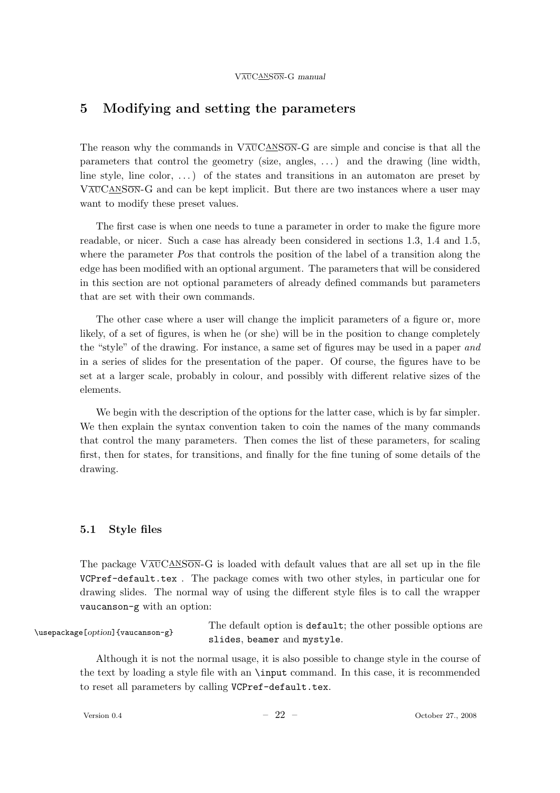## 5 Modifying and setting the parameters

The reason why the commands in  $\overline{VAUCANSON}$ -G are simple and concise is that all the parameters that control the geometry (size, angles, . . . ) and the drawing (line width, line style, line color,  $\dots$ ) of the states and transitions in an automaton are preset by  $V_{\text{AUCANSON}}$ -G and can be kept implicit. But there are two instances where a user may want to modify these preset values.

The first case is when one needs to tune a parameter in order to make the figure more readable, or nicer. Such a case has already been considered in sections 1.3, 1.4 and 1.5, where the parameter Pos that controls the position of the label of a transition along the edge has been modified with an optional argument. The parameters that will be considered in this section are not optional parameters of already defined commands but parameters that are set with their own commands.

The other case where a user will change the implicit parameters of a figure or, more likely, of a set of figures, is when he (or she) will be in the position to change completely the "style" of the drawing. For instance, a same set of figures may be used in a paper and in a series of slides for the presentation of the paper. Of course, the figures have to be set at a larger scale, probably in colour, and possibly with different relative sizes of the elements.

We begin with the description of the options for the latter case, which is by far simpler. We then explain the syntax convention taken to coin the names of the many commands that control the many parameters. Then comes the list of these parameters, for scaling first, then for states, for transitions, and finally for the fine tuning of some details of the drawing.

## 5.1 Style files

The package  $\sqrt{\text{AUCANSON}}-G$  is loaded with default values that are all set up in the file VCPref-default.tex . The package comes with two other styles, in particular one for drawing slides. The normal way of using the different style files is to call the wrapper vaucanson-g with an option:

\usepackage[option]{vaucanson-g}

The default option is default; the other possible options are slides, beamer and mystyle.

Although it is not the normal usage, it is also possible to change style in the course of the text by loading a style file with an \input command. In this case, it is recommended to reset all parameters by calling VCPref-default.tex.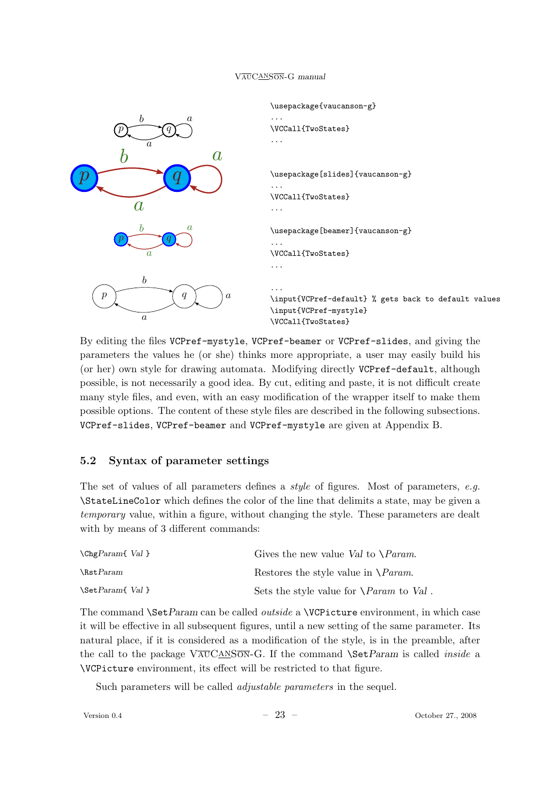

By editing the files VCPref-mystyle, VCPref-beamer or VCPref-slides, and giving the parameters the values he (or she) thinks more appropriate, a user may easily build his (or her) own style for drawing automata. Modifying directly VCPref-default, although possible, is not necessarily a good idea. By cut, editing and paste, it is not difficult create many style files, and even, with an easy modification of the wrapper itself to make them possible options. The content of these style files are described in the following subsections. VCPref-slides, VCPref-beamer and VCPref-mystyle are given at Appendix B.

## 5.2 Syntax of parameter settings

The set of values of all parameters defines a *style* of figures. Most of parameters, e.g. \StateLineColor which defines the color of the line that delimits a state, may be given a temporary value, within a figure, without changing the style. These parameters are dealt with by means of 3 different commands:

| $\Theta$ $Val$ }  | Gives the new value Val to $\Gamma$ <i>Param.</i>  |
|-------------------|----------------------------------------------------|
| $\text{NstParam}$ | Restores the style value in $\Delta$ <i>Param.</i> |
| \Set Param{ Val } | Sets the style value for $\Omega$ aram to Val.     |

The command \SetParam can be called *outside* a \VCPicture environment, in which case it will be effective in all subsequent figures, until a new setting of the same parameter. Its natural place, if it is considered as a modification of the style, is in the preamble, after the call to the package  $\sqrt{\text{AVSON}}$ G. If the command  $\text{SetParam}$  is called *inside* a \VCPicture environment, its effect will be restricted to that figure.

Such parameters will be called *adjustable parameters* in the sequel.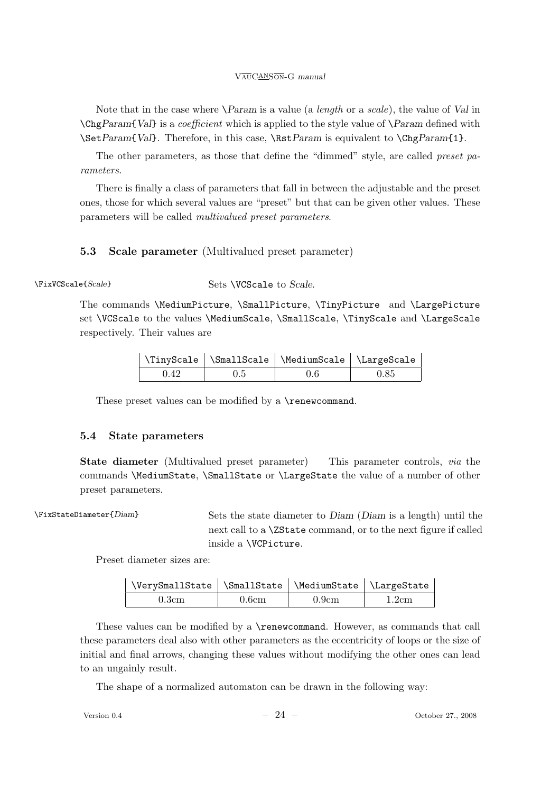Note that in the case where  $\text{Param}$  is a value (a *length* or a *scale*), the value of *Val* in  $\C{C}$  ChgParam{Val} is a *coefficient* which is applied to the style value of  $\P$ aram defined with \SetParam{Val}. Therefore, in this case, \RstParam is equivalent to \ChgParam{1}.

The other parameters, as those that define the "dimmed" style, are called preset parameters.

There is finally a class of parameters that fall in between the adjustable and the preset ones, those for which several values are "preset" but that can be given other values. These parameters will be called multivalued preset parameters.

## 5.3 Scale parameter (Multivalued preset parameter)

\FixVCScale{Scale} Sets \VCScale to Scale.

The commands \MediumPicture, \SmallPicture, \TinyPicture and \LargePicture set \VCScale to the values \MediumScale, \SmallScale, \TinyScale and \LargeScale respectively. Their values are

|      |     | \TinyScale   \SmallScale   \MediumScale   \LargeScale |      |
|------|-----|-------------------------------------------------------|------|
| 0.42 | 0.5 | 0.6                                                   | 0.85 |

These preset values can be modified by a \renewcommand.

### 5.4 State parameters

State diameter (Multivalued preset parameter) This parameter controls, via the commands \MediumState, \SmallState or \LargeState the value of a number of other preset parameters.

\FixStateDiameter{Diam} Sets the state diameter to Diam (Diam is a length) until the next call to a \ZState command, or to the next figure if called inside a \VCPicture.

Preset diameter sizes are:

| \VerySmallState   \SmallState   \MediumState   \LargeState |       |       |       |
|------------------------------------------------------------|-------|-------|-------|
| 0.3cm                                                      | 0.6cm | 0.9cm | 1.2cm |

These values can be modified by a \renewcommand. However, as commands that call these parameters deal also with other parameters as the eccentricity of loops or the size of initial and final arrows, changing these values without modifying the other ones can lead to an ungainly result.

The shape of a normalized automaton can be drawn in the following way: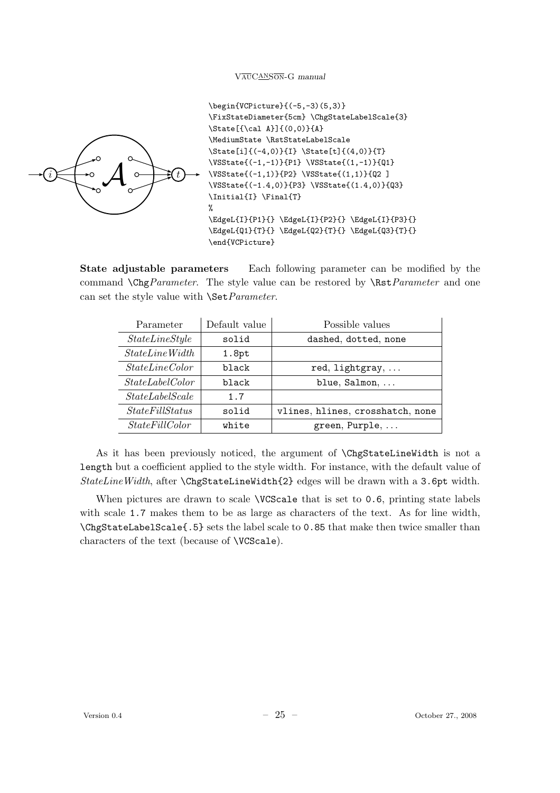

```
\begin{VCPicture}{(-5,-3)(5,3)}
\FixStateDiameter{5cm} \ChgStateLabelScale{3}
\State[{\cal A}]{(0,0)}{A}
\MediumState \RstStateLabelScale
\State[i]{(-4,0)}{I} \State[t]{(4,0)}{T}
\VSState{(-1,-1)}{P1} \VSState{(1,-1)}{Q1}
\VSState{(-1,1)}{P2} \VSState{(1,1)}{Q2 ]
\VSState{(-1.4,0)}{P3} \VSState{(1.4,0)}{Q3}
\Initial{I} \Final{T}
%
\EdgeL{I}{P1}{} \EdgeL{I}{P2}{} \EdgeL{I}{P3}{}
\EdgeL{Q1}{T}{} \EdgeL{Q2}{T}{} \EdgeL{Q3}{T}{}
\end{VCPicture}
```
State adjustable parameters Each following parameter can be modified by the command  $\C{C}$  command  $\C{C}$  arameter. The style value can be restored by  $\R$ st *Parameter* and one can set the style value with **\Set***Parameter*.

| Parameter             | Default value                             | Possible values      |  |
|-----------------------|-------------------------------------------|----------------------|--|
| StateLineStyle        | solid                                     | dashed, dotted, none |  |
| StateLineWidth        | 1.8pt                                     |                      |  |
| StateLineColor        | black<br>red, lightgray,                  |                      |  |
| StateLabelColor       | blue, Salmon,<br>black                    |                      |  |
| StateLabelScale       | 1.7                                       |                      |  |
| StateFillStatus       | vlines, hlines, crosshatch, none<br>hifoa |                      |  |
| <i>StateFillColor</i> | white                                     | green, Purple,       |  |

As it has been previously noticed, the argument of \ChgStateLineWidth is not a length but a coefficient applied to the style width. For instance, with the default value of StateLineWidth, after \ChgStateLineWidth{2} edges will be drawn with a 3.6pt width.

When pictures are drawn to scale **\VCScale** that is set to 0.6, printing state labels with scale 1.7 makes them to be as large as characters of the text. As for line width, \ChgStateLabelScale{.5} sets the label scale to 0.85 that make then twice smaller than characters of the text (because of \VCScale).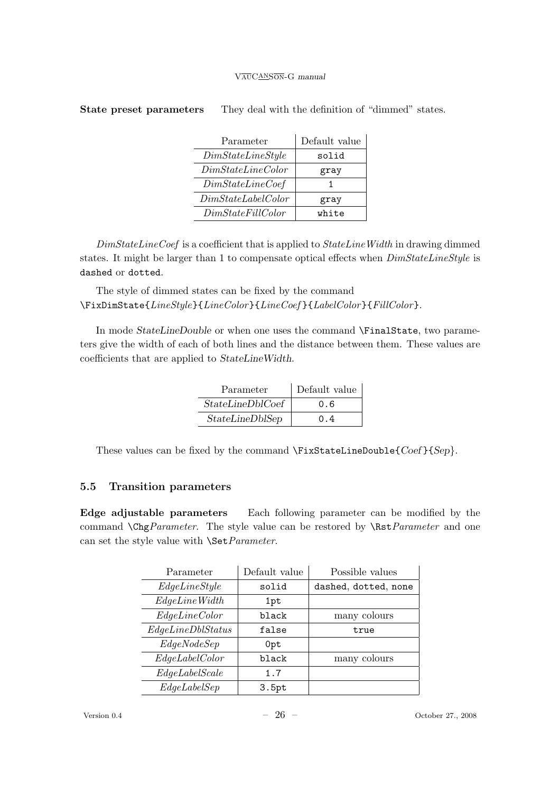| Parameter          | Default value |
|--------------------|---------------|
| DimStateLineStyle  | solid         |
| DimStateLineColor  | gray          |
| DimStateLine Coef  |               |
| DimStateLabelColor | gray          |
| DimStateFillColor  | white         |

## State preset parameters They deal with the definition of "dimmed" states.

 $DimStateLineCoef$  is a coefficient that is applied to  $StateLineWidth$  in drawing dimmed states. It might be larger than 1 to compensate optical effects when  $DimStateLineStyle$  is dashed or dotted.

The style of dimmed states can be fixed by the command \FixDimState{LineStyle}{LineColor}{LineCoef }{LabelColor}{FillColor}.

In mode StateLineDouble or when one uses the command \FinalState, two parameters give the width of each of both lines and the distance between them. These values are coefficients that are applied to StateLineWidth.

| Parameter            | Default value |
|----------------------|---------------|
| $StateLine DblCoeff$ | 0.6           |
| StateLineDblSep      | 0.4           |

These values can be fixed by the command \FixStateLineDouble{Coef}{Sep}.

## 5.5 Transition parameters

Edge adjustable parameters Each following parameter can be modified by the command  $\C{C}$  command  $\C{C}$  arameter. The style value can be restored by  $\R$ st *Parameter* and one can set the style value with **\Set**Parameter.

| Parameter         | Default value | Possible values      |
|-------------------|---------------|----------------------|
| EdgeLineStyle     | solid         | dashed, dotted, none |
| EdgeLineWidth     | 1pt           |                      |
| EdgeLineColor     | black         | many colours         |
| EdgeLineDblStatus | false         | true                 |
| EdgeNodeSep       | 0pt           |                      |
| EdgeLabelColor    | black         | many colours         |
| EdgeLabelScale    | 1.7           |                      |
| EdgeLabelSep      | 3.5pt         |                      |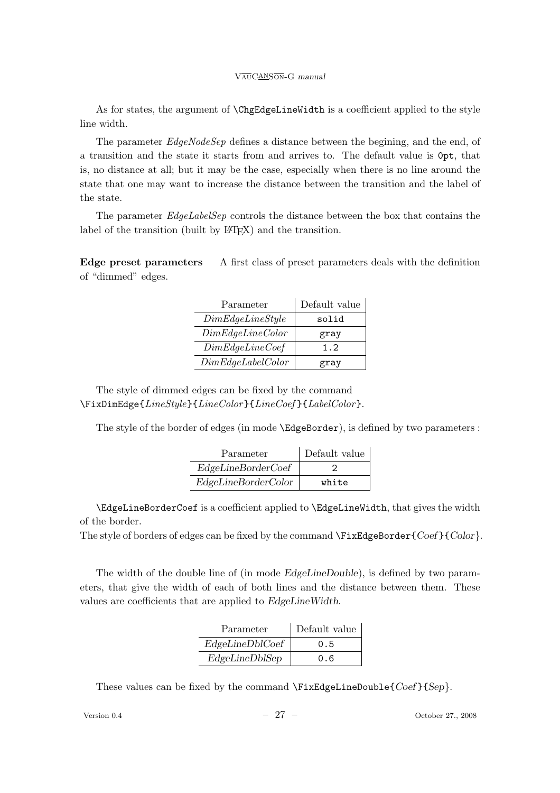As for states, the argument of \ChgEdgeLineWidth is a coefficient applied to the style line width.

The parameter *EdgeNodeSep* defines a distance between the begining, and the end, of a transition and the state it starts from and arrives to. The default value is 0pt, that is, no distance at all; but it may be the case, especially when there is no line around the state that one may want to increase the distance between the transition and the label of the state.

The parameter EdgeLabelSep controls the distance between the box that contains the label of the transition (built by  $\mathbb{F}(\mathbb{F}(\mathbb{X}))$  and the transition.

Edge preset parameters A first class of preset parameters deals with the definition of "dimmed" edges.

| Parameter         | Default value |
|-------------------|---------------|
| DimEdgeLineStyle  | solid         |
| DimEdgeLineColor  | gray          |
| DimEdgeLineCoeff  | 1.2           |
| DimEdgeLabelColor | grav          |

The style of dimmed edges can be fixed by the command  $\Psi$ ixDimEdge{LineStyle}{LineColor}{LineCoef}{LabelColor}.

The style of the border of edges (in mode \EdgeBorder), is defined by two parameters :

| Parameter           | Default value |
|---------------------|---------------|
| EdgeLineBorderCoeff |               |
| EdgeLineBorderColor | white         |

\EdgeLineBorderCoef is a coefficient applied to \EdgeLineWidth, that gives the width of the border.

The style of borders of edges can be fixed by the command  $\FixEdgeBorder{Coef}{Color}.$ 

The width of the double line of (in mode EdgeLineDouble), is defined by two parameters, that give the width of each of both lines and the distance between them. These values are coefficients that are applied to EdgeLineWidth.

| Parameter       | Default value |
|-----------------|---------------|
| EdgeLineDblCoef | 0.5           |
| EdgeLineDblSep  | 0.6           |

These values can be fixed by the command  $\{Fix\}$  EdgeLineDouble{ $Coef$ }{Sep}.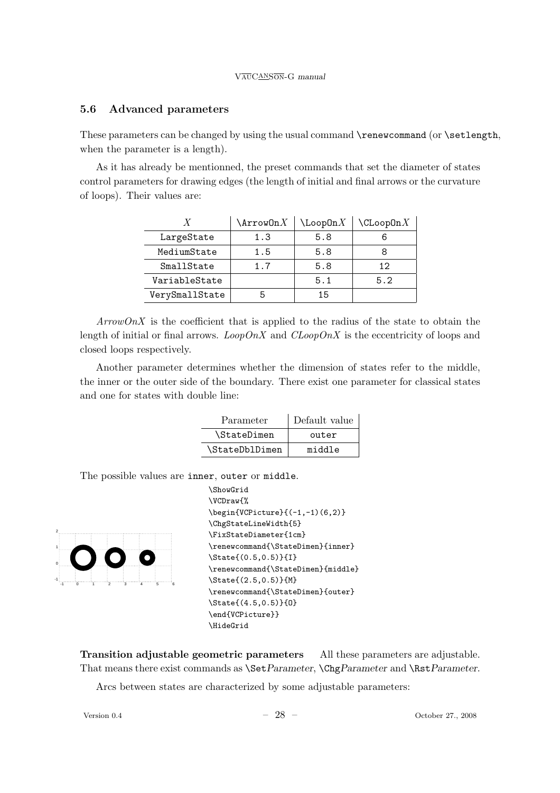#### 5.6 Advanced parameters

These parameters can be changed by using the usual command  $\$ renewcommand (or  $\setminus$  setlength, when the parameter is a length).

As it has already be mentionned, the preset commands that set the diameter of states control parameters for drawing edges (the length of initial and final arrows or the curvature of loops). Their values are:

|                | $\text{ArrowOn}X$ | $\text{LoopOn} X$ | $\verb \CLoopOn  X $ |
|----------------|-------------------|-------------------|----------------------|
| LargeState     | 1.3               | 5.8               |                      |
| MediumState    | 1.5               | 5.8               |                      |
| SmallState     | 1.7               | 5.8               | 12                   |
| VariableState  |                   | 5.1               | 5.2                  |
| VerySmallState |                   | 1.5               |                      |

 $ArrowOnX$  is the coefficient that is applied to the radius of the state to obtain the length of initial or final arrows. LoopOnX and  $CLoopOnX$  is the eccentricity of loops and closed loops respectively.

Another parameter determines whether the dimension of states refer to the middle, the inner or the outer side of the boundary. There exist one parameter for classical states and one for states with double line:

| Parameter      | Default value |
|----------------|---------------|
| \StateDimen    | outer         |
| \StateDblDimen | middle        |

The possible values are inner, outer or middle.



```
\ShowGrid
\VCDraw{%
\begin{VCPicture}{(-1,-1)(6,2)}
\ChgStateLineWidth{5}
\FixStateDiameter{1cm}
\renewcommand{\StateDimen}{inner}
\State{(0.5,0.5)}{I}
\renewcommand{\StateDimen}{middle}
\State{(2.5,0.5)}{M}
\renewcommand{\StateDimen}{outer}
\State{(4.5,0.5)}{O}
\end{VCPicture}}
\HideGrid
```
Transition adjustable geometric parameters All these parameters are adjustable. That means there exist commands as  $\Set{Parameter} \ChgParameter$  and  $\Set{Barmeter}$ .

Arcs between states are characterized by some adjustable parameters: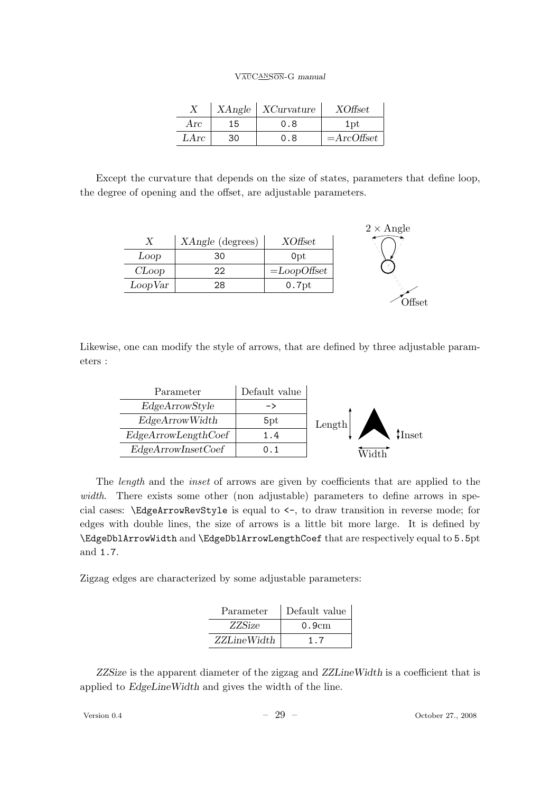|      |    | $XAngle \mid XCurvature$ | <i>XOffset</i> |
|------|----|--------------------------|----------------|
| Arc  | 15 | 0.8                      | 1pt            |
| LArc | 30 | 0.8                      | $=$ ArcOffset  |

Except the curvature that depends on the size of states, parameters that define loop, the degree of opening and the offset, are adjustable parameters.



Likewise, one can modify the style of arrows, that are defined by three adjustable parameters :

| Default value |                         |
|---------------|-------------------------|
|               |                         |
| 5pt           | Length                  |
| 1.4           | $\,\,\rm\uparrow$ Inset |
| (). 1         |                         |
|               |                         |

The length and the inset of arrows are given by coefficients that are applied to the width. There exists some other (non adjustable) parameters to define arrows in special cases: \EdgeArrowRevStyle is equal to <-, to draw transition in reverse mode; for edges with double lines, the size of arrows is a little bit more large. It is defined by \EdgeDblArrowWidth and \EdgeDblArrowLengthCoef that are respectively equal to 5.5pt and 1.7.

Zigzag edges are characterized by some adjustable parameters:

| Parameter     | Default value |  |
|---------------|---------------|--|
| <i>ZZSize</i> | 0.9cm         |  |
| ZZLineWidth   | 17            |  |

ZZSize is the apparent diameter of the zigzag and ZZLineWidth is a coefficient that is applied to EdgeLineWidth and gives the width of the line.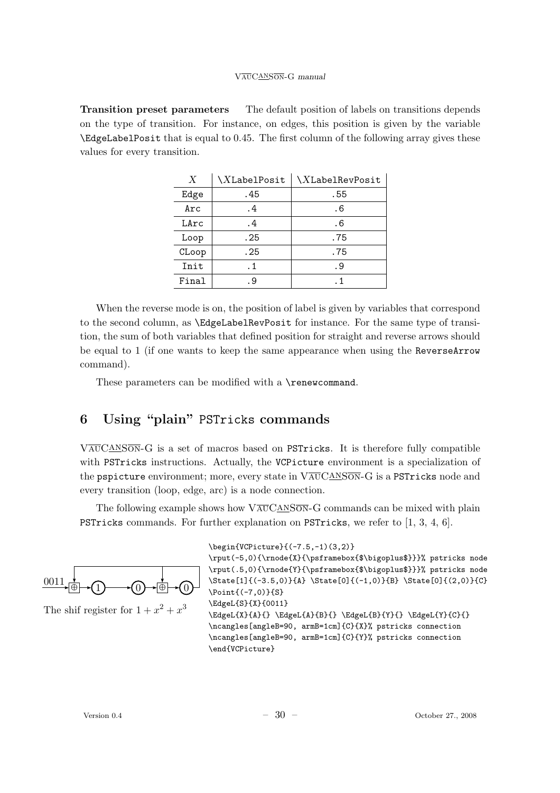Transition preset parameters The default position of labels on transitions depends on the type of transition. For instance, on edges, this position is given by the variable \EdgeLabelPosit that is equal to 0.45. The first column of the following array gives these values for every transition.

| X     | \XLabelPosit | \XLabelRevPosit |
|-------|--------------|-----------------|
| Edge  | . 45         | .55             |
| Arc   | . 4          | . 6             |
| LArc  | . 4          | . 6             |
| Loop  | . 25         | . 75            |
| CLoop | . 25         | . 75            |
| Init  | . 1          | . 9             |
| Final | . 9          | $\cdot$ 1       |

When the reverse mode is on, the position of label is given by variables that correspond to the second column, as \EdgeLabelRevPosit for instance. For the same type of transition, the sum of both variables that defined position for straight and reverse arrows should be equal to 1 (if one wants to keep the same appearance when using the ReverseArrow command).

These parameters can be modified with a \renewcommand.

## 6 Using "plain" PSTricks commands

 $V_{\text{AUCANSON}}$ -G is a set of macros based on PSTricks. It is therefore fully compatible with PSTricks instructions. Actually, the VCPicture environment is a specialization of the pspicture environment; more, every state in  $VAVCANSON-G$  is a PSTricks node and every transition (loop, edge, arc) is a node connection.

The following example shows how  $\overline{\text{VaUCANSON}}-G$  commands can be mixed with plain PSTricks commands. For further explanation on PSTricks, we refer to [1, 3, 4, 6].



The shif register for  $1 + x^2 + x^3$ 

```
\begin{VCPicture}{(-7.5,-1)(3,2)}
```

```
\rput(-5,0){\rnode{X}{\psframebox{$\bigoplus$}}}% pstricks node
\rput(.5,0){\rnode{Y}{\psframebox{$\bigoplus$}}}% pstricks node
\State[1]{(-3.5,0)}{A} \State[0]{(-1,0)}{B} \State[0]{(2,0)}{C}
\Point{(-7,0)}{S}
\EdgeL{S}{X}{0011}
\EdgeL{X}{A}{} \EdgeL{A}{B}{} \EdgeL{B}{Y}{} \EdgeL{Y}{C}{}
\ncangles[angleB=90, armB=1cm]{C}{X}% pstricks connection
\ncangles[angleB=90, armB=1cm]{C}{Y}% pstricks connection
\end{VCPicture}
```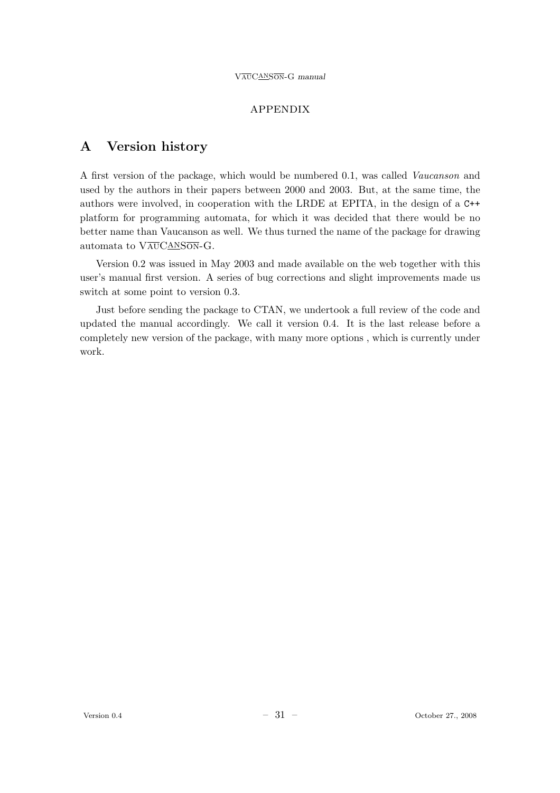#### appendix

## A Version history

A first version of the package, which would be numbered 0.1, was called Vaucanson and used by the authors in their papers between 2000 and 2003. But, at the same time, the authors were involved, in cooperation with the LRDE at EPITA, in the design of a C++ platform for programming automata, for which it was decided that there would be no better name than Vaucanson as well. We thus turned the name of the package for drawing automata to  $V\overline{\text{AUC}}$ ANSON-G.

Version 0.2 was issued in May 2003 and made available on the web together with this user's manual first version. A series of bug corrections and slight improvements made us switch at some point to version 0.3.

Just before sending the package to CTAN, we undertook a full review of the code and updated the manual accordingly. We call it version 0.4. It is the last release before a completely new version of the package, with many more options , which is currently under work.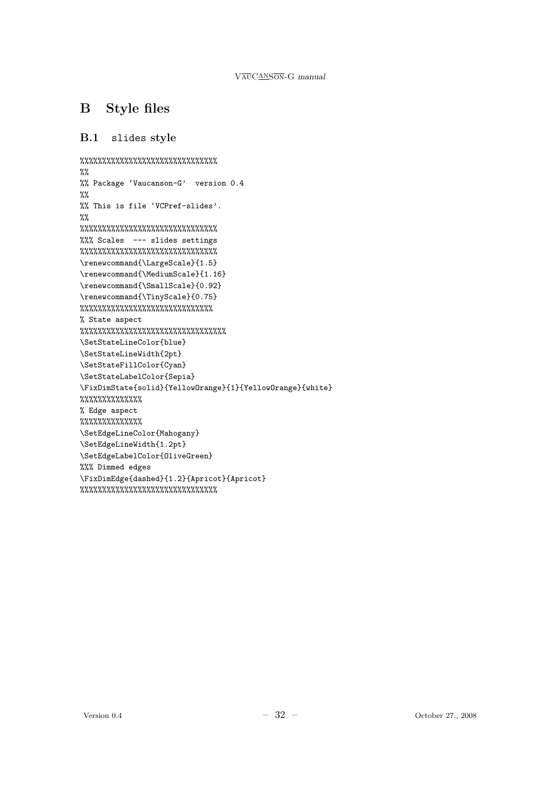# B Style files

## B.1 slides style

```
%%%%%%%%%%%%%%%%%%%%%%%%%%%%%%%
\frac{9}{2}%% Package 'Vaucanson-G' version 0.4
%%
%% This is file 'VCPref-slides'.
%%
%%%%%%%%%%%%%%%%%%%%%%%%%%%%%%%
%%% Scales --- slides settings
%%%%%%%%%%%%%%%%%%%%%%%%%%%%%%%
\renewcommand{\LargeScale}{1.5}
\renewcommand{\MediumScale}{1.16}
\renewcommand{\SmallScale}{0.92}
\renewcommand{\TinyScale}{0.75}
%%%%%%%%%%%%%%%%%%%%%%%%%%%%%%
% State aspect
%%%%%%%%%%%%%%%%%%%%%%%%%%%%%%%%%
\SetStateLineColor{blue}
\SetStateLineWidth{2pt}
\SetStateFillColor{Cyan}
\SetStateLabelColor{Sepia}
\FixDimState{solid}{YellowOrange}{1}{YellowOrange}{white}
%%%%%%%%%%%%%%
% Edge aspect
%%%%%%%%%%%%%%
\SetEdgeLineColor{Mahogany}
\SetEdgeLineWidth{1.2pt}
\SetEdgeLabelColor{OliveGreen}
%%% Dimmed edges
\FixDimEdge{dashed}{1.2}{Apricot}{Apricot}
%%%%%%%%%%%%%%%%%%%%%%%%%%%%%%%
```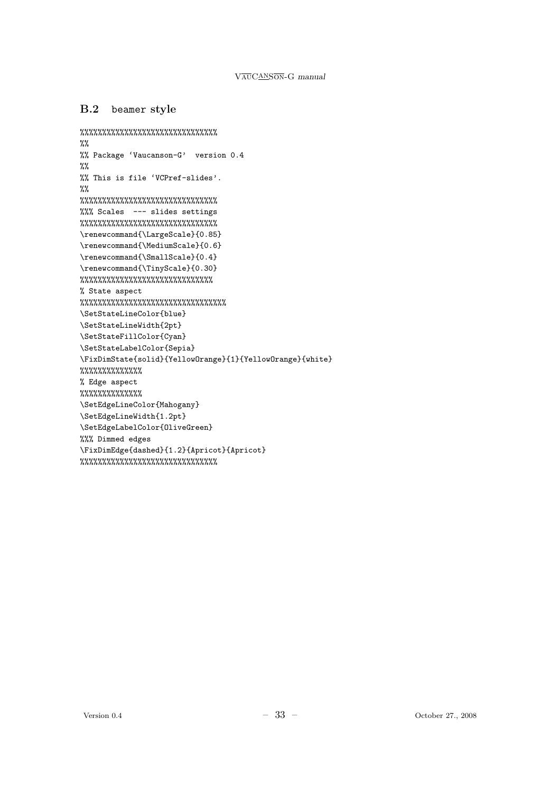### B.2 beamer style

```
%%%%%%%%%%%%%%%%%%%%%%%%%%%%%%%
\%%
%% Package 'Vaucanson-G' version 0.4
\frac{9}{2}%% This is file 'VCPref-slides'.
\frac{9}{2}%%%%%%%%%%%%%%%%%%%%%%%%%%%%%%%
%%% Scales --- slides settings
%%%%%%%%%%%%%%%%%%%%%%%%%%%%%%%
\renewcommand{\LargeScale}{0.85}
\renewcommand{\MediumScale}{0.6}
\renewcommand{\SmallScale}{0.4}
\renewcommand{\TinyScale}{0.30}
%%%%%%%%%%%%%%%%%%%%%%%%%%%%%%
% State aspect
%%%%%%%%%%%%%%%%%%%%%%%%%%%%%%%%%
\SetStateLineColor{blue}
\SetStateLineWidth{2pt}
\SetStateFillColor{Cyan}
\SetStateLabelColor{Sepia}
\FixDimState{solid}{YellowOrange}{1}{YellowOrange}{white}
%%%%%%%%%%%%%%
% Edge aspect
%%%%%%%%%%%%%%
\SetEdgeLineColor{Mahogany}
\SetEdgeLineWidth{1.2pt}
\SetEdgeLabelColor{OliveGreen}
%%% Dimmed edges
\FixDimEdge{dashed}{1.2}{Apricot}{Apricot}
%%%%%%%%%%%%%%%%%%%%%%%%%%%%%%%
```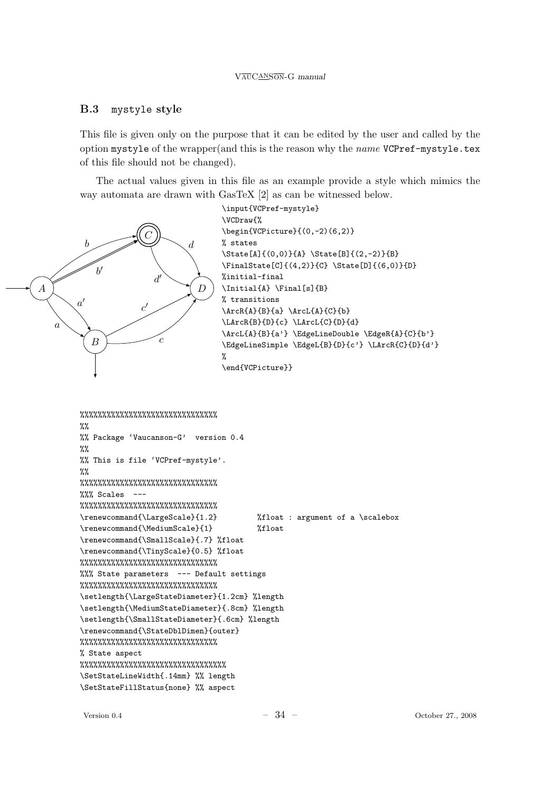## B.3 mystyle style

This file is given only on the purpose that it can be edited by the user and called by the option mystyle of the wrapper(and this is the reason why the name VCPref-mystyle.tex of this file should not be changed).

The actual values given in this file as an example provide a style which mimics the way automata are drawn with GasTeX [2] as can be witnessed below.



```
%%%%%%%%%%%%%%%%%%%%%%%%%%%%%%%
%%
%% Package 'Vaucanson-G' version 0.4
\frac{9}{2}%% This is file 'VCPref-mystyle'.
\%%
%%%%%%%%%%%%%%%%%%%%%%%%%%%%%%%
%%% Scales ---
%%%%%%%%%%%%%%%%%%%%%%%%%%%%%%%
\renewcommand{\LargeScale}{1.2} %float : argument of a \scalebox
\renewcommand{\MediumScale}{1} %float
\renewcommand{\SmallScale}{.7} %float
\renewcommand{\TinyScale}{0.5} %float
%%%%%%%%%%%%%%%%%%%%%%%%%%%%%%%
%%% State parameters --- Default settings
%%%%%%%%%%%%%%%%%%%%%%%%%%%%%%%
\setlength{\LargeStateDiameter}{1.2cm} %length
\setlength{\MediumStateDiameter}{.8cm} %length
\setlength{\SmallStateDiameter}{.6cm} %length
\renewcommand{\StateDblDimen}{outer}
%%%%%%%%%%%%%%%%%%%%%%%%%%%%%%%
% State aspect
%%%%%%%%%%%%%%%%%%%%%%%%%%%%%%%%%
\SetStateLineWidth{.14mm} %% length
\SetStateFillStatus{none} %% aspect
```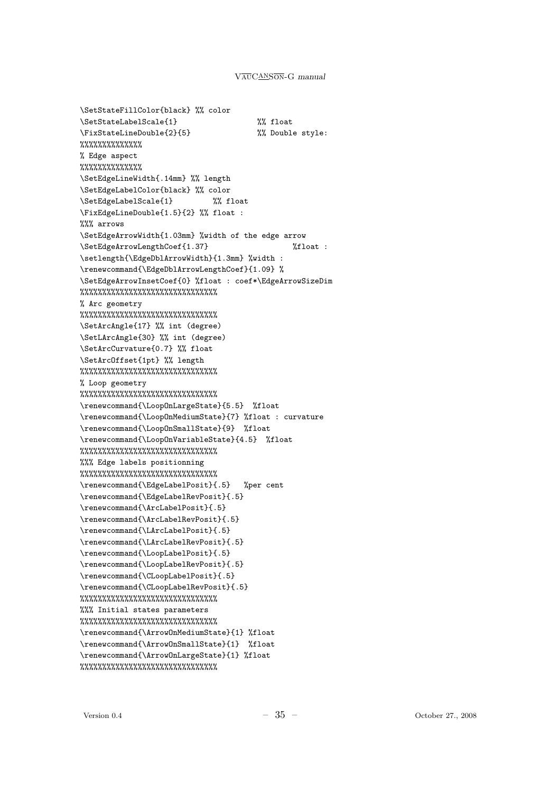\SetStateFillColor{black} %% color \SetStateLabelScale{1} %% float \FixStateLineDouble{2}{5} %% Double style: %%%%%%%%%%%%%% % Edge aspect %%%%%%%%%%%%%% \SetEdgeLineWidth{.14mm} %% length \SetEdgeLabelColor{black} %% color \SetEdgeLabelScale{1} %% float \FixEdgeLineDouble{1.5}{2} %% float : %%% arrows \SetEdgeArrowWidth{1.03mm} %width of the edge arrow \SetEdgeArrowLengthCoef{1.37} %float : \setlength{\EdgeDblArrowWidth}{1.3mm} %width : \renewcommand{\EdgeDblArrowLengthCoef}{1.09} % \SetEdgeArrowInsetCoef{0} %float : coef\*\EdgeArrowSizeDim %%%%%%%%%%%%%%%%%%%%%%%%%%%%%%% % Arc geometry %%%%%%%%%%%%%%%%%%%%%%%%%%%%%%% \SetArcAngle{17} %% int (degree) \SetLArcAngle{30} %% int (degree) \SetArcCurvature{0.7} %% float \SetArcOffset{1pt} %% length %%%%%%%%%%%%%%%%%%%%%%%%%%%%%%% % Loop geometry %%%%%%%%%%%%%%%%%%%%%%%%%%%%%%% \renewcommand{\LoopOnLargeState}{5.5} %float \renewcommand{\LoopOnMediumState}{7} %float : curvature \renewcommand{\LoopOnSmallState}{9} %float \renewcommand{\LoopOnVariableState}{4.5} %float %%%%%%%%%%%%%%%%%%%%%%%%%%%%%%% %%% Edge labels positionning %%%%%%%%%%%%%%%%%%%%%%%%%%%%%%% \renewcommand{\EdgeLabelPosit}{.5} %per cent \renewcommand{\EdgeLabelRevPosit}{.5} \renewcommand{\ArcLabelPosit}{.5} \renewcommand{\ArcLabelRevPosit}{.5} \renewcommand{\LArcLabelPosit}{.5} \renewcommand{\LArcLabelRevPosit}{.5} \renewcommand{\LoopLabelPosit}{.5} \renewcommand{\LoopLabelRevPosit}{.5} \renewcommand{\CLoopLabelPosit}{.5} \renewcommand{\CLoopLabelRevPosit}{.5} %%%%%%%%%%%%%%%%%%%%%%%%%%%%%%% %%% Initial states parameters %%%%%%%%%%%%%%%%%%%%%%%%%%%%%%% \renewcommand{\ArrowOnMediumState}{1} %float \renewcommand{\ArrowOnSmallState}{1} %float \renewcommand{\ArrowOnLargeState}{1} %float %%%%%%%%%%%%%%%%%%%%%%%%%%%%%%%